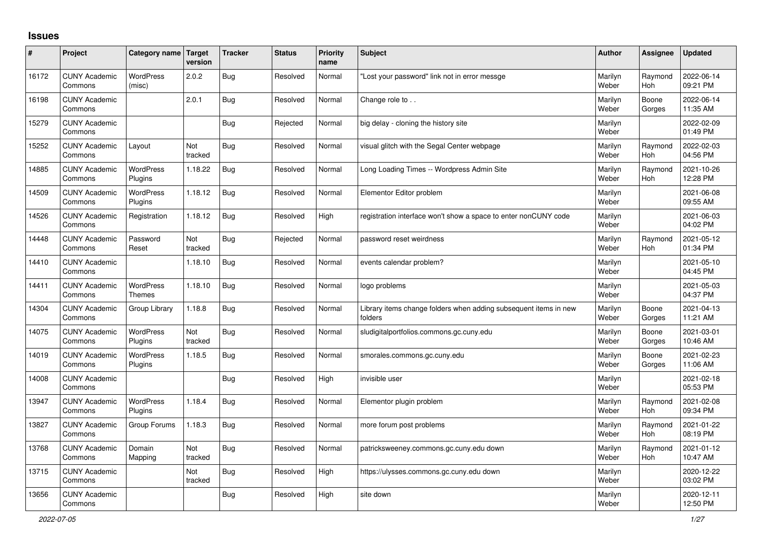## **Issues**

| #     | Project                         | Category name               | Target<br>version | <b>Tracker</b> | <b>Status</b> | Priority<br>name | <b>Subject</b>                                                              | <b>Author</b>    | Assignee              | <b>Updated</b>         |
|-------|---------------------------------|-----------------------------|-------------------|----------------|---------------|------------------|-----------------------------------------------------------------------------|------------------|-----------------------|------------------------|
| 16172 | <b>CUNY Academic</b><br>Commons | <b>WordPress</b><br>(misc)  | 2.0.2             | <b>Bug</b>     | Resolved      | Normal           | 'Lost your password" link not in error messge                               | Marilyn<br>Weber | Raymond<br><b>Hoh</b> | 2022-06-14<br>09:21 PM |
| 16198 | <b>CUNY Academic</b><br>Commons |                             | 2.0.1             | Bug            | Resolved      | Normal           | Change role to                                                              | Marilyn<br>Weber | Boone<br>Gorges       | 2022-06-14<br>11:35 AM |
| 15279 | <b>CUNY Academic</b><br>Commons |                             |                   | Bug            | Rejected      | Normal           | big delay - cloning the history site                                        | Marilyn<br>Weber |                       | 2022-02-09<br>01:49 PM |
| 15252 | <b>CUNY Academic</b><br>Commons | Layout                      | Not<br>tracked    | Bug            | Resolved      | Normal           | visual glitch with the Segal Center webpage                                 | Marilyn<br>Weber | Raymond<br><b>Hoh</b> | 2022-02-03<br>04:56 PM |
| 14885 | <b>CUNY Academic</b><br>Commons | <b>WordPress</b><br>Plugins | 1.18.22           | <b>Bug</b>     | Resolved      | Normal           | Long Loading Times -- Wordpress Admin Site                                  | Marilyn<br>Weber | Raymond<br>Hoh        | 2021-10-26<br>12:28 PM |
| 14509 | <b>CUNY Academic</b><br>Commons | WordPress<br>Plugins        | 1.18.12           | Bug            | Resolved      | Normal           | Elementor Editor problem                                                    | Marilyn<br>Weber |                       | 2021-06-08<br>09:55 AM |
| 14526 | <b>CUNY Academic</b><br>Commons | Registration                | 1.18.12           | Bug            | Resolved      | High             | registration interface won't show a space to enter nonCUNY code             | Marilyn<br>Weber |                       | 2021-06-03<br>04:02 PM |
| 14448 | <b>CUNY Academic</b><br>Commons | Password<br>Reset           | Not<br>tracked    | Bug            | Rejected      | Normal           | password reset weirdness                                                    | Marilyn<br>Weber | Raymond<br><b>Hoh</b> | 2021-05-12<br>01:34 PM |
| 14410 | <b>CUNY Academic</b><br>Commons |                             | 1.18.10           | Bug            | Resolved      | Normal           | events calendar problem?                                                    | Marilyn<br>Weber |                       | 2021-05-10<br>04:45 PM |
| 14411 | <b>CUNY Academic</b><br>Commons | <b>WordPress</b><br>Themes  | 1.18.10           | Bug            | Resolved      | Normal           | logo problems                                                               | Marilyn<br>Weber |                       | 2021-05-03<br>04:37 PM |
| 14304 | <b>CUNY Academic</b><br>Commons | Group Library               | 1.18.8            | Bug            | Resolved      | Normal           | Library items change folders when adding subsequent items in new<br>folders | Marilyn<br>Weber | Boone<br>Gorges       | 2021-04-13<br>11:21 AM |
| 14075 | <b>CUNY Academic</b><br>Commons | <b>WordPress</b><br>Plugins | Not<br>tracked    | Bug            | Resolved      | Normal           | sludigitalportfolios.commons.gc.cuny.edu                                    | Marilyn<br>Weber | Boone<br>Gorges       | 2021-03-01<br>10:46 AM |
| 14019 | <b>CUNY Academic</b><br>Commons | <b>WordPress</b><br>Plugins | 1.18.5            | Bug            | Resolved      | Normal           | smorales.commons.gc.cuny.edu                                                | Marilyn<br>Weber | Boone<br>Gorges       | 2021-02-23<br>11:06 AM |
| 14008 | <b>CUNY Academic</b><br>Commons |                             |                   | <b>Bug</b>     | Resolved      | High             | invisible user                                                              | Marilyn<br>Weber |                       | 2021-02-18<br>05:53 PM |
| 13947 | <b>CUNY Academic</b><br>Commons | WordPress<br>Plugins        | 1.18.4            | <b>Bug</b>     | Resolved      | Normal           | Elementor plugin problem                                                    | Marilyn<br>Weber | Raymond<br>Hoh        | 2021-02-08<br>09:34 PM |
| 13827 | <b>CUNY Academic</b><br>Commons | Group Forums                | 1.18.3            | Bug            | Resolved      | Normal           | more forum post problems                                                    | Marilyn<br>Weber | Raymond<br><b>Hoh</b> | 2021-01-22<br>08:19 PM |
| 13768 | <b>CUNY Academic</b><br>Commons | Domain<br>Mapping           | Not<br>tracked    | Bug            | Resolved      | Normal           | patricksweeney.commons.gc.cuny.edu down                                     | Marilyn<br>Weber | Raymond<br><b>Hoh</b> | 2021-01-12<br>10:47 AM |
| 13715 | <b>CUNY Academic</b><br>Commons |                             | Not<br>tracked    | Bug            | Resolved      | High             | https://ulysses.commons.gc.cuny.edu down                                    | Marilyn<br>Weber |                       | 2020-12-22<br>03:02 PM |
| 13656 | <b>CUNY Academic</b><br>Commons |                             |                   | Bug            | Resolved      | High             | site down                                                                   | Marilyn<br>Weber |                       | 2020-12-11<br>12:50 PM |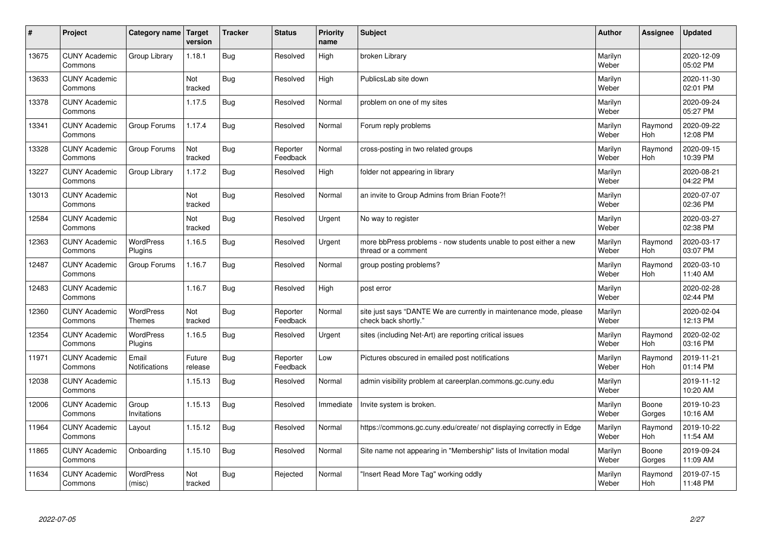| #     | Project                         | Category name   Target        | version           | <b>Tracker</b> | <b>Status</b>        | <b>Priority</b><br>name | <b>Subject</b>                                                                             | <b>Author</b>    | Assignee              | <b>Updated</b>         |
|-------|---------------------------------|-------------------------------|-------------------|----------------|----------------------|-------------------------|--------------------------------------------------------------------------------------------|------------------|-----------------------|------------------------|
| 13675 | <b>CUNY Academic</b><br>Commons | Group Library                 | 1.18.1            | Bug            | Resolved             | High                    | broken Library                                                                             | Marilyn<br>Weber |                       | 2020-12-09<br>05:02 PM |
| 13633 | <b>CUNY Academic</b><br>Commons |                               | Not<br>tracked    | Bug            | Resolved             | High                    | PublicsLab site down                                                                       | Marilyn<br>Weber |                       | 2020-11-30<br>02:01 PM |
| 13378 | <b>CUNY Academic</b><br>Commons |                               | 1.17.5            | Bug            | Resolved             | Normal                  | problem on one of my sites                                                                 | Marilyn<br>Weber |                       | 2020-09-24<br>05:27 PM |
| 13341 | <b>CUNY Academic</b><br>Commons | Group Forums                  | 1.17.4            | <b>Bug</b>     | Resolved             | Normal                  | Forum reply problems                                                                       | Marilyn<br>Weber | Raymond<br><b>Hoh</b> | 2020-09-22<br>12:08 PM |
| 13328 | <b>CUNY Academic</b><br>Commons | Group Forums                  | Not<br>tracked    | Bug            | Reporter<br>Feedback | Normal                  | cross-posting in two related groups                                                        | Marilyn<br>Weber | Raymond<br><b>Hoh</b> | 2020-09-15<br>10:39 PM |
| 13227 | <b>CUNY Academic</b><br>Commons | Group Library                 | 1.17.2            | Bug            | Resolved             | High                    | folder not appearing in library                                                            | Marilyn<br>Weber |                       | 2020-08-21<br>04:22 PM |
| 13013 | <b>CUNY Academic</b><br>Commons |                               | Not<br>tracked    | Bug            | Resolved             | Normal                  | an invite to Group Admins from Brian Foote?!                                               | Marilyn<br>Weber |                       | 2020-07-07<br>02:36 PM |
| 12584 | <b>CUNY Academic</b><br>Commons |                               | Not<br>tracked    | Bug            | Resolved             | Urgent                  | No way to register                                                                         | Marilyn<br>Weber |                       | 2020-03-27<br>02:38 PM |
| 12363 | <b>CUNY Academic</b><br>Commons | <b>WordPress</b><br>Plugins   | 1.16.5            | Bug            | Resolved             | Urgent                  | more bbPress problems - now students unable to post either a new<br>thread or a comment    | Marilyn<br>Weber | Raymond<br>Hoh        | 2020-03-17<br>03:07 PM |
| 12487 | <b>CUNY Academic</b><br>Commons | Group Forums                  | 1.16.7            | Bug            | Resolved             | Normal                  | group posting problems?                                                                    | Marilyn<br>Weber | Raymond<br><b>Hoh</b> | 2020-03-10<br>11:40 AM |
| 12483 | <b>CUNY Academic</b><br>Commons |                               | 1.16.7            | Bug            | Resolved             | High                    | post error                                                                                 | Marilyn<br>Weber |                       | 2020-02-28<br>02:44 PM |
| 12360 | <b>CUNY Academic</b><br>Commons | <b>WordPress</b><br>Themes    | Not<br>tracked    | Bug            | Reporter<br>Feedback | Normal                  | site just says "DANTE We are currently in maintenance mode, please<br>check back shortly." | Marilyn<br>Weber |                       | 2020-02-04<br>12:13 PM |
| 12354 | <b>CUNY Academic</b><br>Commons | <b>WordPress</b><br>Plugins   | 1.16.5            | Bug            | Resolved             | Urgent                  | sites (including Net-Art) are reporting critical issues                                    | Marilyn<br>Weber | Raymond<br>Hoh        | 2020-02-02<br>03:16 PM |
| 11971 | <b>CUNY Academic</b><br>Commons | Email<br><b>Notifications</b> | Future<br>release | Bug            | Reporter<br>Feedback | Low                     | Pictures obscured in emailed post notifications                                            | Marilyn<br>Weber | Raymond<br>Hoh        | 2019-11-21<br>01:14 PM |
| 12038 | <b>CUNY Academic</b><br>Commons |                               | 1.15.13           | Bug            | Resolved             | Normal                  | admin visibility problem at careerplan.commons.gc.cuny.edu                                 | Marilyn<br>Weber |                       | 2019-11-12<br>10:20 AM |
| 12006 | <b>CUNY Academic</b><br>Commons | Group<br>Invitations          | 1.15.13           | Bug            | Resolved             | Immediate               | Invite system is broken.                                                                   | Marilyn<br>Weber | Boone<br>Gorges       | 2019-10-23<br>10:16 AM |
| 11964 | <b>CUNY Academic</b><br>Commons | Layout                        | 1.15.12           | Bug            | Resolved             | Normal                  | https://commons.gc.cuny.edu/create/ not displaying correctly in Edge                       | Marilyn<br>Weber | Raymond<br>Hoh        | 2019-10-22<br>11:54 AM |
| 11865 | <b>CUNY Academic</b><br>Commons | Onboarding                    | 1.15.10           | Bug            | Resolved             | Normal                  | Site name not appearing in "Membership" lists of Invitation modal                          | Marilyn<br>Weber | Boone<br>Gorges       | 2019-09-24<br>11:09 AM |
| 11634 | <b>CUNY Academic</b><br>Commons | <b>WordPress</b><br>(misc)    | Not<br>tracked    | Bug            | Rejected             | Normal                  | 'Insert Read More Tag" working oddly                                                       | Marilyn<br>Weber | Raymond<br>Hoh        | 2019-07-15<br>11:48 PM |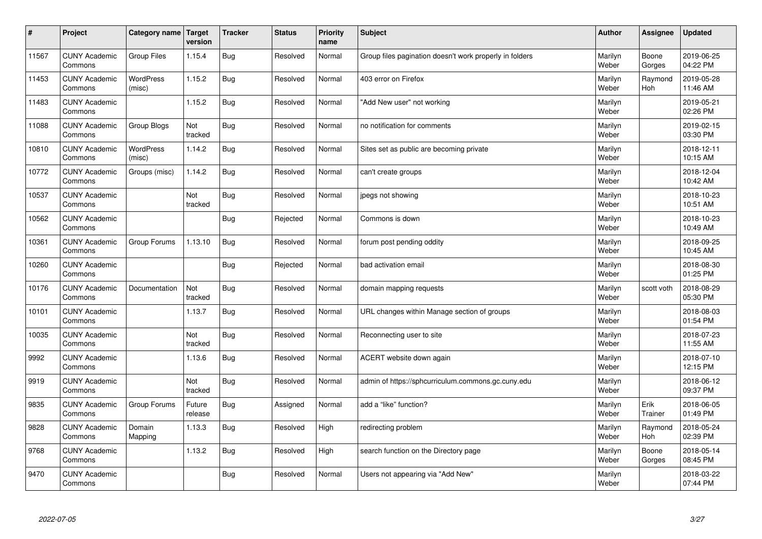| $\sharp$ | Project                         | Category name   Target     | version           | <b>Tracker</b> | <b>Status</b> | <b>Priority</b><br>name | <b>Subject</b>                                          | <b>Author</b>    | Assignee              | <b>Updated</b>         |
|----------|---------------------------------|----------------------------|-------------------|----------------|---------------|-------------------------|---------------------------------------------------------|------------------|-----------------------|------------------------|
| 11567    | <b>CUNY Academic</b><br>Commons | Group Files                | 1.15.4            | Bug            | Resolved      | Normal                  | Group files pagination doesn't work properly in folders | Marilyn<br>Weber | Boone<br>Gorges       | 2019-06-25<br>04:22 PM |
| 11453    | <b>CUNY Academic</b><br>Commons | <b>WordPress</b><br>(misc) | 1.15.2            | Bug            | Resolved      | Normal                  | 403 error on Firefox                                    | Marilyn<br>Weber | Raymond<br><b>Hoh</b> | 2019-05-28<br>11:46 AM |
| 11483    | <b>CUNY Academic</b><br>Commons |                            | 1.15.2            | Bug            | Resolved      | Normal                  | "Add New user" not working                              | Marilyn<br>Weber |                       | 2019-05-21<br>02:26 PM |
| 11088    | <b>CUNY Academic</b><br>Commons | Group Blogs                | Not<br>tracked    | Bug            | Resolved      | Normal                  | no notification for comments                            | Marilyn<br>Weber |                       | 2019-02-15<br>03:30 PM |
| 10810    | <b>CUNY Academic</b><br>Commons | <b>WordPress</b><br>(misc) | 1.14.2            | Bug            | Resolved      | Normal                  | Sites set as public are becoming private                | Marilyn<br>Weber |                       | 2018-12-11<br>10:15 AM |
| 10772    | <b>CUNY Academic</b><br>Commons | Groups (misc)              | 1.14.2            | Bug            | Resolved      | Normal                  | can't create groups                                     | Marilyn<br>Weber |                       | 2018-12-04<br>10:42 AM |
| 10537    | <b>CUNY Academic</b><br>Commons |                            | Not<br>tracked    | Bug            | Resolved      | Normal                  | jpegs not showing                                       | Marilyn<br>Weber |                       | 2018-10-23<br>10:51 AM |
| 10562    | <b>CUNY Academic</b><br>Commons |                            |                   | Bug            | Rejected      | Normal                  | Commons is down                                         | Marilyn<br>Weber |                       | 2018-10-23<br>10:49 AM |
| 10361    | <b>CUNY Academic</b><br>Commons | Group Forums               | 1.13.10           | Bug            | Resolved      | Normal                  | forum post pending oddity                               | Marilyn<br>Weber |                       | 2018-09-25<br>10:45 AM |
| 10260    | <b>CUNY Academic</b><br>Commons |                            |                   | Bug            | Rejected      | Normal                  | bad activation email                                    | Marilyn<br>Weber |                       | 2018-08-30<br>01:25 PM |
| 10176    | <b>CUNY Academic</b><br>Commons | Documentation              | Not<br>tracked    | Bug            | Resolved      | Normal                  | domain mapping requests                                 | Marilyn<br>Weber | scott voth            | 2018-08-29<br>05:30 PM |
| 10101    | <b>CUNY Academic</b><br>Commons |                            | 1.13.7            | <b>Bug</b>     | Resolved      | Normal                  | URL changes within Manage section of groups             | Marilyn<br>Weber |                       | 2018-08-03<br>01:54 PM |
| 10035    | <b>CUNY Academic</b><br>Commons |                            | Not<br>tracked    | Bug            | Resolved      | Normal                  | Reconnecting user to site                               | Marilyn<br>Weber |                       | 2018-07-23<br>11:55 AM |
| 9992     | <b>CUNY Academic</b><br>Commons |                            | 1.13.6            | Bug            | Resolved      | Normal                  | ACERT website down again                                | Marilyn<br>Weber |                       | 2018-07-10<br>12:15 PM |
| 9919     | <b>CUNY Academic</b><br>Commons |                            | Not<br>tracked    | Bug            | Resolved      | Normal                  | admin of https://sphcurriculum.commons.gc.cuny.edu      | Marilyn<br>Weber |                       | 2018-06-12<br>09:37 PM |
| 9835     | <b>CUNY Academic</b><br>Commons | Group Forums               | Future<br>release | Bug            | Assigned      | Normal                  | add a "like" function?                                  | Marilyn<br>Weber | Erik<br>Trainer       | 2018-06-05<br>01:49 PM |
| 9828     | <b>CUNY Academic</b><br>Commons | Domain<br>Mapping          | 1.13.3            | Bug            | Resolved      | High                    | redirecting problem                                     | Marilyn<br>Weber | Raymond<br><b>Hoh</b> | 2018-05-24<br>02:39 PM |
| 9768     | <b>CUNY Academic</b><br>Commons |                            | 1.13.2            | <b>Bug</b>     | Resolved      | High                    | search function on the Directory page                   | Marilyn<br>Weber | Boone<br>Gorges       | 2018-05-14<br>08:45 PM |
| 9470     | <b>CUNY Academic</b><br>Commons |                            |                   | Bug            | Resolved      | Normal                  | Users not appearing via "Add New"                       | Marilyn<br>Weber |                       | 2018-03-22<br>07:44 PM |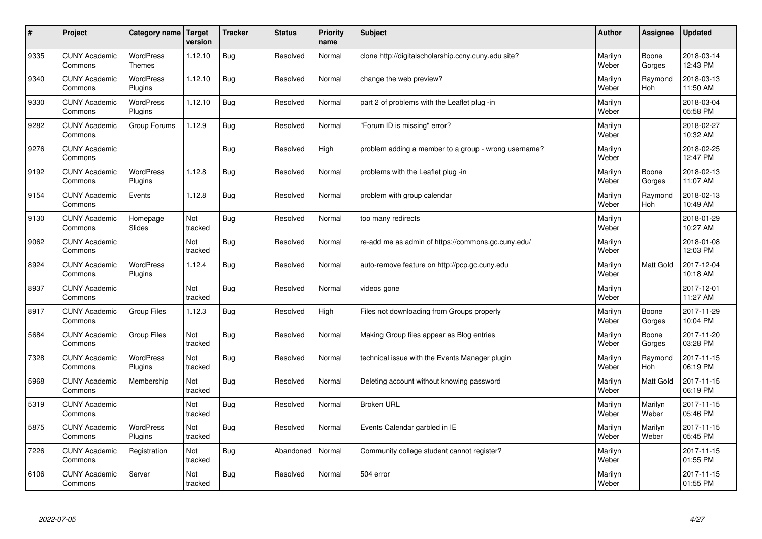| $\sharp$ | Project                         | Category name                     | Target<br>version | <b>Tracker</b> | <b>Status</b> | <b>Priority</b><br>name | <b>Subject</b>                                       | <b>Author</b>    | Assignee              | Updated                |
|----------|---------------------------------|-----------------------------------|-------------------|----------------|---------------|-------------------------|------------------------------------------------------|------------------|-----------------------|------------------------|
| 9335     | <b>CUNY Academic</b><br>Commons | <b>WordPress</b><br><b>Themes</b> | 1.12.10           | <b>Bug</b>     | Resolved      | Normal                  | clone http://digitalscholarship.ccny.cuny.edu site?  | Marilyn<br>Weber | Boone<br>Gorges       | 2018-03-14<br>12:43 PM |
| 9340     | <b>CUNY Academic</b><br>Commons | <b>WordPress</b><br>Plugins       | 1.12.10           | Bug            | Resolved      | Normal                  | change the web preview?                              | Marilyn<br>Weber | Raymond<br><b>Hoh</b> | 2018-03-13<br>11:50 AM |
| 9330     | <b>CUNY Academic</b><br>Commons | <b>WordPress</b><br>Plugins       | 1.12.10           | Bug            | Resolved      | Normal                  | part 2 of problems with the Leaflet plug-in          | Marilyn<br>Weber |                       | 2018-03-04<br>05:58 PM |
| 9282     | <b>CUNY Academic</b><br>Commons | Group Forums                      | 1.12.9            | Bug            | Resolved      | Normal                  | 'Forum ID is missing" error?                         | Marilyn<br>Weber |                       | 2018-02-27<br>10:32 AM |
| 9276     | <b>CUNY Academic</b><br>Commons |                                   |                   | Bug            | Resolved      | High                    | problem adding a member to a group - wrong username? | Marilyn<br>Weber |                       | 2018-02-25<br>12:47 PM |
| 9192     | <b>CUNY Academic</b><br>Commons | WordPress<br>Plugins              | 1.12.8            | Bug            | Resolved      | Normal                  | problems with the Leaflet plug -in                   | Marilyn<br>Weber | Boone<br>Gorges       | 2018-02-13<br>11:07 AM |
| 9154     | <b>CUNY Academic</b><br>Commons | Events                            | 1.12.8            | <b>Bug</b>     | Resolved      | Normal                  | problem with group calendar                          | Marilyn<br>Weber | Raymond<br>Hoh        | 2018-02-13<br>10:49 AM |
| 9130     | <b>CUNY Academic</b><br>Commons | Homepage<br>Slides                | Not<br>tracked    | Bug            | Resolved      | Normal                  | too many redirects                                   | Marilyn<br>Weber |                       | 2018-01-29<br>10:27 AM |
| 9062     | <b>CUNY Academic</b><br>Commons |                                   | Not<br>tracked    | Bug            | Resolved      | Normal                  | re-add me as admin of https://commons.gc.cuny.edu/   | Marilyn<br>Weber |                       | 2018-01-08<br>12:03 PM |
| 8924     | <b>CUNY Academic</b><br>Commons | WordPress<br>Plugins              | 1.12.4            | Bug            | Resolved      | Normal                  | auto-remove feature on http://pcp.gc.cuny.edu        | Marilyn<br>Weber | Matt Gold             | 2017-12-04<br>10:18 AM |
| 8937     | <b>CUNY Academic</b><br>Commons |                                   | Not<br>tracked    | Bug            | Resolved      | Normal                  | videos gone                                          | Marilyn<br>Weber |                       | 2017-12-01<br>11:27 AM |
| 8917     | <b>CUNY Academic</b><br>Commons | Group Files                       | 1.12.3            | Bug            | Resolved      | High                    | Files not downloading from Groups properly           | Marilyn<br>Weber | Boone<br>Gorges       | 2017-11-29<br>10:04 PM |
| 5684     | <b>CUNY Academic</b><br>Commons | <b>Group Files</b>                | Not<br>tracked    | Bug            | Resolved      | Normal                  | Making Group files appear as Blog entries            | Marilyn<br>Weber | Boone<br>Gorges       | 2017-11-20<br>03:28 PM |
| 7328     | <b>CUNY Academic</b><br>Commons | WordPress<br>Plugins              | Not<br>tracked    | Bug            | Resolved      | Normal                  | technical issue with the Events Manager plugin       | Marilyn<br>Weber | Raymond<br><b>Hoh</b> | 2017-11-15<br>06:19 PM |
| 5968     | <b>CUNY Academic</b><br>Commons | Membership                        | Not<br>tracked    | Bug            | Resolved      | Normal                  | Deleting account without knowing password            | Marilyn<br>Weber | Matt Gold             | 2017-11-15<br>06:19 PM |
| 5319     | <b>CUNY Academic</b><br>Commons |                                   | Not<br>tracked    | Bug            | Resolved      | Normal                  | <b>Broken URL</b>                                    | Marilyn<br>Weber | Marilyn<br>Weber      | 2017-11-15<br>05:46 PM |
| 5875     | <b>CUNY Academic</b><br>Commons | WordPress<br>Plugins              | Not<br>tracked    | Bug            | Resolved      | Normal                  | Events Calendar garbled in IE                        | Marilyn<br>Weber | Marilyn<br>Weber      | 2017-11-15<br>05:45 PM |
| 7226     | <b>CUNY Academic</b><br>Commons | Registration                      | Not<br>tracked    | Bug            | Abandoned     | Normal                  | Community college student cannot register?           | Marilyn<br>Weber |                       | 2017-11-15<br>01:55 PM |
| 6106     | <b>CUNY Academic</b><br>Commons | Server                            | Not<br>tracked    | Bug            | Resolved      | Normal                  | 504 error                                            | Marilyn<br>Weber |                       | 2017-11-15<br>01:55 PM |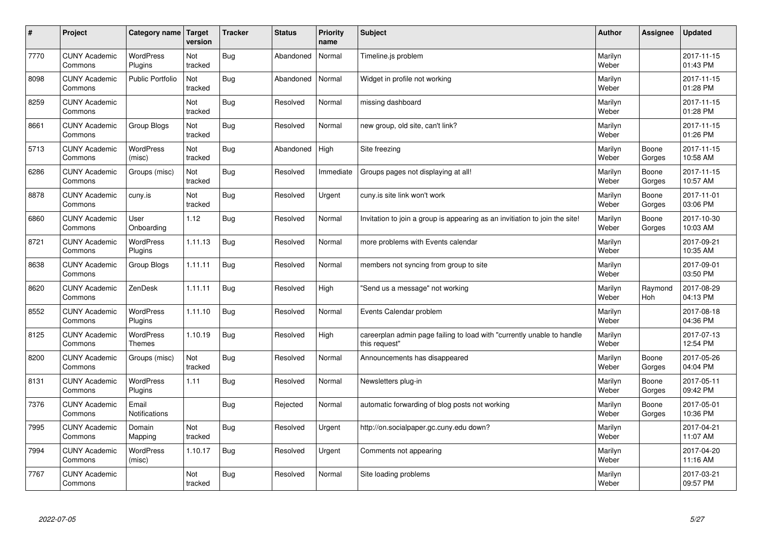| #    | Project                         | Category name   Target            | version        | <b>Tracker</b> | <b>Status</b> | <b>Priority</b><br>name | <b>Subject</b>                                                                          | <b>Author</b>    | <b>Assignee</b>       | <b>Updated</b>         |
|------|---------------------------------|-----------------------------------|----------------|----------------|---------------|-------------------------|-----------------------------------------------------------------------------------------|------------------|-----------------------|------------------------|
| 7770 | <b>CUNY Academic</b><br>Commons | <b>WordPress</b><br>Plugins       | Not<br>tracked | Bug            | Abandoned     | Normal                  | Timeline.js problem                                                                     | Marilyn<br>Weber |                       | 2017-11-15<br>01:43 PM |
| 8098 | <b>CUNY Academic</b><br>Commons | <b>Public Portfolio</b>           | Not<br>tracked | Bug            | Abandoned     | Normal                  | Widget in profile not working                                                           | Marilyn<br>Weber |                       | 2017-11-15<br>01:28 PM |
| 8259 | <b>CUNY Academic</b><br>Commons |                                   | Not<br>tracked | Bug            | Resolved      | Normal                  | missing dashboard                                                                       | Marilyn<br>Weber |                       | 2017-11-15<br>01:28 PM |
| 8661 | <b>CUNY Academic</b><br>Commons | Group Blogs                       | Not<br>tracked | Bug            | Resolved      | Normal                  | new group, old site, can't link?                                                        | Marilyn<br>Weber |                       | 2017-11-15<br>01:26 PM |
| 5713 | <b>CUNY Academic</b><br>Commons | <b>WordPress</b><br>(misc)        | Not<br>tracked | <b>Bug</b>     | Abandoned     | High                    | Site freezing                                                                           | Marilyn<br>Weber | Boone<br>Gorges       | 2017-11-15<br>10:58 AM |
| 6286 | <b>CUNY Academic</b><br>Commons | Groups (misc)                     | Not<br>tracked | Bug            | Resolved      | Immediate               | Groups pages not displaying at all!                                                     | Marilyn<br>Weber | Boone<br>Gorges       | 2017-11-15<br>10:57 AM |
| 8878 | <b>CUNY Academic</b><br>Commons | cuny.is                           | Not<br>tracked | Bug            | Resolved      | Urgent                  | cuny is site link won't work                                                            | Marilyn<br>Weber | Boone<br>Gorges       | 2017-11-01<br>03:06 PM |
| 6860 | <b>CUNY Academic</b><br>Commons | User<br>Onboarding                | 1.12           | <b>Bug</b>     | Resolved      | Normal                  | Invitation to join a group is appearing as an invitiation to join the site!             | Marilyn<br>Weber | Boone<br>Gorges       | 2017-10-30<br>10:03 AM |
| 8721 | <b>CUNY Academic</b><br>Commons | <b>WordPress</b><br>Plugins       | 1.11.13        | Bug            | Resolved      | Normal                  | more problems with Events calendar                                                      | Marilyn<br>Weber |                       | 2017-09-21<br>10:35 AM |
| 8638 | <b>CUNY Academic</b><br>Commons | Group Blogs                       | 1.11.11        | Bug            | Resolved      | Normal                  | members not syncing from group to site                                                  | Marilyn<br>Weber |                       | 2017-09-01<br>03:50 PM |
| 8620 | <b>CUNY Academic</b><br>Commons | ZenDesk                           | 1.11.11        | Bug            | Resolved      | High                    | 'Send us a message" not working                                                         | Marilyn<br>Weber | Raymond<br><b>Hoh</b> | 2017-08-29<br>04:13 PM |
| 8552 | <b>CUNY Academic</b><br>Commons | <b>WordPress</b><br>Plugins       | 1.11.10        | Bug            | Resolved      | Normal                  | Events Calendar problem                                                                 | Marilyn<br>Weber |                       | 2017-08-18<br>04:36 PM |
| 8125 | <b>CUNY Academic</b><br>Commons | <b>WordPress</b><br><b>Themes</b> | 1.10.19        | Bug            | Resolved      | High                    | careerplan admin page failing to load with "currently unable to handle<br>this request" | Marilyn<br>Weber |                       | 2017-07-13<br>12:54 PM |
| 8200 | <b>CUNY Academic</b><br>Commons | Groups (misc)                     | Not<br>tracked | Bug            | Resolved      | Normal                  | Announcements has disappeared                                                           | Marilyn<br>Weber | Boone<br>Gorges       | 2017-05-26<br>04:04 PM |
| 8131 | <b>CUNY Academic</b><br>Commons | <b>WordPress</b><br>Plugins       | 1.11           | Bug            | Resolved      | Normal                  | Newsletters plug-in                                                                     | Marilyn<br>Weber | Boone<br>Gorges       | 2017-05-11<br>09:42 PM |
| 7376 | <b>CUNY Academic</b><br>Commons | Email<br><b>Notifications</b>     |                | Bug            | Rejected      | Normal                  | automatic forwarding of blog posts not working                                          | Marilyn<br>Weber | Boone<br>Gorges       | 2017-05-01<br>10:36 PM |
| 7995 | <b>CUNY Academic</b><br>Commons | Domain<br>Mapping                 | Not<br>tracked | Bug            | Resolved      | Urgent                  | http://on.socialpaper.gc.cuny.edu down?                                                 | Marilyn<br>Weber |                       | 2017-04-21<br>11:07 AM |
| 7994 | <b>CUNY Academic</b><br>Commons | WordPress<br>(misc)               | 1.10.17        | Bug            | Resolved      | Urgent                  | Comments not appearing                                                                  | Marilyn<br>Weber |                       | 2017-04-20<br>11:16 AM |
| 7767 | <b>CUNY Academic</b><br>Commons |                                   | Not<br>tracked | Bug            | Resolved      | Normal                  | Site loading problems                                                                   | Marilyn<br>Weber |                       | 2017-03-21<br>09:57 PM |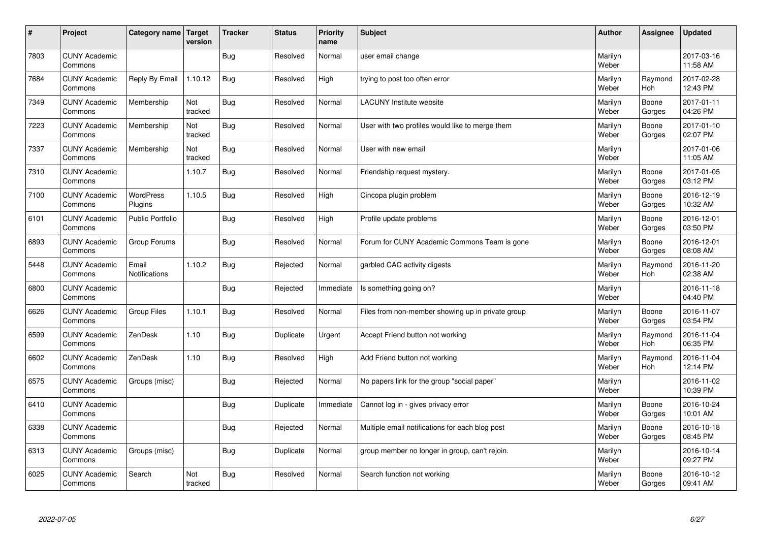| #    | Project                         | Category name   Target        | version        | <b>Tracker</b> | <b>Status</b> | <b>Priority</b><br>name | <b>Subject</b>                                    | <b>Author</b>    | Assignee              | <b>Updated</b>         |
|------|---------------------------------|-------------------------------|----------------|----------------|---------------|-------------------------|---------------------------------------------------|------------------|-----------------------|------------------------|
| 7803 | <b>CUNY Academic</b><br>Commons |                               |                | Bug            | Resolved      | Normal                  | user email change                                 | Marilyn<br>Weber |                       | 2017-03-16<br>11:58 AM |
| 7684 | <b>CUNY Academic</b><br>Commons | Reply By Email                | 1.10.12        | Bug            | Resolved      | High                    | trying to post too often error                    | Marilyn<br>Weber | Raymond<br><b>Hoh</b> | 2017-02-28<br>12:43 PM |
| 7349 | <b>CUNY Academic</b><br>Commons | Membership                    | Not<br>tracked | <b>Bug</b>     | Resolved      | Normal                  | <b>LACUNY Institute website</b>                   | Marilyn<br>Weber | Boone<br>Gorges       | 2017-01-11<br>04:26 PM |
| 7223 | <b>CUNY Academic</b><br>Commons | Membership                    | Not<br>tracked | Bug            | Resolved      | Normal                  | User with two profiles would like to merge them   | Marilyn<br>Weber | Boone<br>Gorges       | 2017-01-10<br>02:07 PM |
| 7337 | <b>CUNY Academic</b><br>Commons | Membership                    | Not<br>tracked | Bug            | Resolved      | Normal                  | User with new email                               | Marilyn<br>Weber |                       | 2017-01-06<br>11:05 AM |
| 7310 | <b>CUNY Academic</b><br>Commons |                               | 1.10.7         | Bug            | Resolved      | Normal                  | Friendship request mystery.                       | Marilyn<br>Weber | Boone<br>Gorges       | 2017-01-05<br>03:12 PM |
| 7100 | <b>CUNY Academic</b><br>Commons | <b>WordPress</b><br>Plugins   | 1.10.5         | Bug            | Resolved      | High                    | Cincopa plugin problem                            | Marilyn<br>Weber | Boone<br>Gorges       | 2016-12-19<br>10:32 AM |
| 6101 | <b>CUNY Academic</b><br>Commons | Public Portfolio              |                | <b>Bug</b>     | Resolved      | High                    | Profile update problems                           | Marilyn<br>Weber | Boone<br>Gorges       | 2016-12-01<br>03:50 PM |
| 6893 | <b>CUNY Academic</b><br>Commons | Group Forums                  |                | Bug            | Resolved      | Normal                  | Forum for CUNY Academic Commons Team is gone      | Marilyn<br>Weber | Boone<br>Gorges       | 2016-12-01<br>08:08 AM |
| 5448 | <b>CUNY Academic</b><br>Commons | Email<br><b>Notifications</b> | 1.10.2         | Bug            | Rejected      | Normal                  | garbled CAC activity digests                      | Marilyn<br>Weber | Raymond<br>Hoh        | 2016-11-20<br>02:38 AM |
| 6800 | <b>CUNY Academic</b><br>Commons |                               |                | <b>Bug</b>     | Rejected      | Immediate               | Is something going on?                            | Marilyn<br>Weber |                       | 2016-11-18<br>04:40 PM |
| 6626 | <b>CUNY Academic</b><br>Commons | <b>Group Files</b>            | 1.10.1         | Bug            | Resolved      | Normal                  | Files from non-member showing up in private group | Marilyn<br>Weber | Boone<br>Gorges       | 2016-11-07<br>03:54 PM |
| 6599 | <b>CUNY Academic</b><br>Commons | ZenDesk                       | 1.10           | Bug            | Duplicate     | Urgent                  | Accept Friend button not working                  | Marilyn<br>Weber | Raymond<br>Hoh        | 2016-11-04<br>06:35 PM |
| 6602 | <b>CUNY Academic</b><br>Commons | ZenDesk                       | 1.10           | Bug            | Resolved      | High                    | Add Friend button not working                     | Marilyn<br>Weber | Raymond<br>Hoh        | 2016-11-04<br>12:14 PM |
| 6575 | <b>CUNY Academic</b><br>Commons | Groups (misc)                 |                | Bug            | Rejected      | Normal                  | No papers link for the group "social paper"       | Marilyn<br>Weber |                       | 2016-11-02<br>10:39 PM |
| 6410 | <b>CUNY Academic</b><br>Commons |                               |                | <b>Bug</b>     | Duplicate     | Immediate               | Cannot log in - gives privacy error               | Marilyn<br>Weber | Boone<br>Gorges       | 2016-10-24<br>10:01 AM |
| 6338 | <b>CUNY Academic</b><br>Commons |                               |                | Bug            | Rejected      | Normal                  | Multiple email notifications for each blog post   | Marilyn<br>Weber | Boone<br>Gorges       | 2016-10-18<br>08:45 PM |
| 6313 | <b>CUNY Academic</b><br>Commons | Groups (misc)                 |                | Bug            | Duplicate     | Normal                  | group member no longer in group, can't rejoin.    | Marilyn<br>Weber |                       | 2016-10-14<br>09:27 PM |
| 6025 | <b>CUNY Academic</b><br>Commons | Search                        | Not<br>tracked | Bug            | Resolved      | Normal                  | Search function not working                       | Marilyn<br>Weber | Boone<br>Gorges       | 2016-10-12<br>09:41 AM |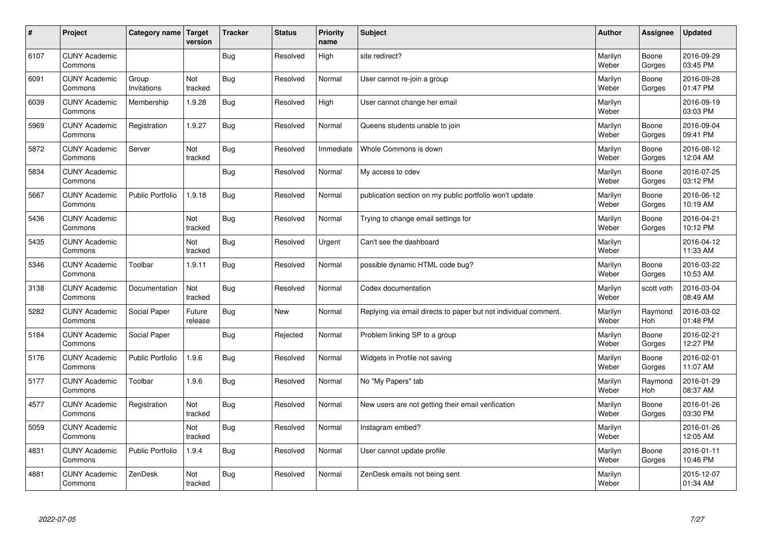| $\sharp$ | Project                         | Category name   Target  | version           | <b>Tracker</b> | <b>Status</b> | <b>Priority</b><br>name | <b>Subject</b>                                                  | <b>Author</b>    | Assignee        | <b>Updated</b>         |
|----------|---------------------------------|-------------------------|-------------------|----------------|---------------|-------------------------|-----------------------------------------------------------------|------------------|-----------------|------------------------|
| 6107     | <b>CUNY Academic</b><br>Commons |                         |                   | Bug            | Resolved      | High                    | site redirect?                                                  | Marilyn<br>Weber | Boone<br>Gorges | 2016-09-29<br>03:45 PM |
| 6091     | <b>CUNY Academic</b><br>Commons | Group<br>Invitations    | Not<br>tracked    | Bug            | Resolved      | Normal                  | User cannot re-join a group                                     | Marilyn<br>Weber | Boone<br>Gorges | 2016-09-28<br>01:47 PM |
| 6039     | <b>CUNY Academic</b><br>Commons | Membership              | 1.9.28            | Bug            | Resolved      | High                    | User cannot change her email                                    | Marilyn<br>Weber |                 | 2016-09-19<br>03:03 PM |
| 5969     | <b>CUNY Academic</b><br>Commons | Registration            | 1.9.27            | Bug            | Resolved      | Normal                  | Queens students unable to join                                  | Marilyn<br>Weber | Boone<br>Gorges | 2016-09-04<br>09:41 PM |
| 5872     | <b>CUNY Academic</b><br>Commons | Server                  | Not<br>tracked    | Bug            | Resolved      | Immediate               | Whole Commons is down                                           | Marilyn<br>Weber | Boone<br>Gorges | 2016-08-12<br>12:04 AM |
| 5834     | <b>CUNY Academic</b><br>Commons |                         |                   | Bug            | Resolved      | Normal                  | My access to cdev                                               | Marilyn<br>Weber | Boone<br>Gorges | 2016-07-25<br>03:12 PM |
| 5667     | <b>CUNY Academic</b><br>Commons | <b>Public Portfolio</b> | 1.9.18            | Bug            | Resolved      | Normal                  | publication section on my public portfolio won't update         | Marilyn<br>Weber | Boone<br>Gorges | 2016-06-12<br>10:19 AM |
| 5436     | <b>CUNY Academic</b><br>Commons |                         | Not<br>tracked    | Bug            | Resolved      | Normal                  | Trying to change email settings for                             | Marilyn<br>Weber | Boone<br>Gorges | 2016-04-21<br>10:12 PM |
| 5435     | <b>CUNY Academic</b><br>Commons |                         | Not<br>tracked    | Bug            | Resolved      | Urgent                  | Can't see the dashboard                                         | Marilyn<br>Weber |                 | 2016-04-12<br>11:33 AM |
| 5346     | <b>CUNY Academic</b><br>Commons | Toolbar                 | 1.9.11            | Bug            | Resolved      | Normal                  | possible dynamic HTML code bug?                                 | Marilyn<br>Weber | Boone<br>Gorges | 2016-03-22<br>10:53 AM |
| 3138     | <b>CUNY Academic</b><br>Commons | Documentation           | Not<br>tracked    | Bug            | Resolved      | Normal                  | Codex documentation                                             | Marilyn<br>Weber | scott voth      | 2016-03-04<br>08:49 AM |
| 5282     | <b>CUNY Academic</b><br>Commons | Social Paper            | Future<br>release | <b>Bug</b>     | <b>New</b>    | Normal                  | Replying via email directs to paper but not individual comment. | Marilyn<br>Weber | Raymond<br>Hoh  | 2016-03-02<br>01:48 PM |
| 5184     | <b>CUNY Academic</b><br>Commons | Social Paper            |                   | Bug            | Rejected      | Normal                  | Problem linking SP to a group                                   | Marilyn<br>Weber | Boone<br>Gorges | 2016-02-21<br>12:27 PM |
| 5176     | <b>CUNY Academic</b><br>Commons | Public Portfolio        | 1.9.6             | Bug            | Resolved      | Normal                  | Widgets in Profile not saving                                   | Marilyn<br>Weber | Boone<br>Gorges | 2016-02-01<br>11:07 AM |
| 5177     | <b>CUNY Academic</b><br>Commons | Toolbar                 | 1.9.6             | Bug            | Resolved      | Normal                  | No "My Papers" tab                                              | Marilyn<br>Weber | Raymond<br>Hoh  | 2016-01-29<br>08:37 AM |
| 4577     | <b>CUNY Academic</b><br>Commons | Registration            | Not<br>tracked    | Bug            | Resolved      | Normal                  | New users are not getting their email verification              | Marilyn<br>Weber | Boone<br>Gorges | 2016-01-26<br>03:30 PM |
| 5059     | <b>CUNY Academic</b><br>Commons |                         | Not<br>tracked    | Bug            | Resolved      | Normal                  | Instagram embed?                                                | Marilyn<br>Weber |                 | 2016-01-26<br>12:05 AM |
| 4831     | <b>CUNY Academic</b><br>Commons | Public Portfolio        | 1.9.4             | Bug            | Resolved      | Normal                  | User cannot update profile                                      | Marilyn<br>Weber | Boone<br>Gorges | 2016-01-11<br>10:46 PM |
| 4881     | <b>CUNY Academic</b><br>Commons | ZenDesk                 | Not<br>tracked    | Bug            | Resolved      | Normal                  | ZenDesk emails not being sent                                   | Marilyn<br>Weber |                 | 2015-12-07<br>01:34 AM |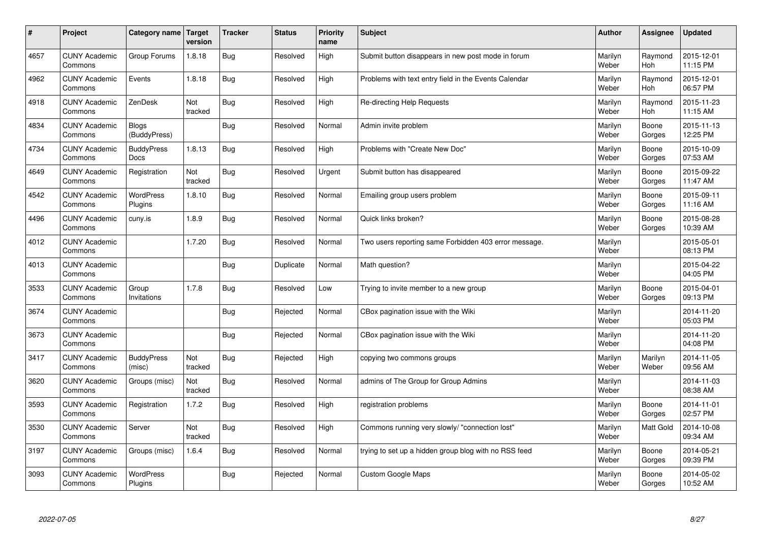| $\sharp$ | Project                         | Category name                | Target<br>version | <b>Tracker</b> | <b>Status</b> | <b>Priority</b><br>name | <b>Subject</b>                                        | <b>Author</b>    | Assignee              | <b>Updated</b>         |
|----------|---------------------------------|------------------------------|-------------------|----------------|---------------|-------------------------|-------------------------------------------------------|------------------|-----------------------|------------------------|
| 4657     | <b>CUNY Academic</b><br>Commons | Group Forums                 | 1.8.18            | Bug            | Resolved      | High                    | Submit button disappears in new post mode in forum    | Marilyn<br>Weber | Raymond<br><b>Hoh</b> | 2015-12-01<br>11:15 PM |
| 4962     | <b>CUNY Academic</b><br>Commons | Events                       | 1.8.18            | Bug            | Resolved      | High                    | Problems with text entry field in the Events Calendar | Marilyn<br>Weber | Raymond<br>Hoh        | 2015-12-01<br>06:57 PM |
| 4918     | <b>CUNY Academic</b><br>Commons | ZenDesk                      | Not<br>tracked    | Bug            | Resolved      | High                    | Re-directing Help Requests                            | Marilyn<br>Weber | Raymond<br><b>Hoh</b> | 2015-11-23<br>11:15 AM |
| 4834     | <b>CUNY Academic</b><br>Commons | <b>Blogs</b><br>(BuddyPress) |                   | Bug            | Resolved      | Normal                  | Admin invite problem                                  | Marilyn<br>Weber | Boone<br>Gorges       | 2015-11-13<br>12:25 PM |
| 4734     | <b>CUNY Academic</b><br>Commons | <b>BuddyPress</b><br>Docs    | 1.8.13            | Bug            | Resolved      | High                    | Problems with "Create New Doc"                        | Marilyn<br>Weber | Boone<br>Gorges       | 2015-10-09<br>07:53 AM |
| 4649     | <b>CUNY Academic</b><br>Commons | Registration                 | Not<br>tracked    | Bug            | Resolved      | Urgent                  | Submit button has disappeared                         | Marilyn<br>Weber | Boone<br>Gorges       | 2015-09-22<br>11:47 AM |
| 4542     | <b>CUNY Academic</b><br>Commons | WordPress<br>Plugins         | 1.8.10            | Bug            | Resolved      | Normal                  | Emailing group users problem                          | Marilyn<br>Weber | Boone<br>Gorges       | 2015-09-11<br>11:16 AM |
| 4496     | <b>CUNY Academic</b><br>Commons | cuny.is                      | 1.8.9             | Bug            | Resolved      | Normal                  | Quick links broken?                                   | Marilyn<br>Weber | Boone<br>Gorges       | 2015-08-28<br>10:39 AM |
| 4012     | <b>CUNY Academic</b><br>Commons |                              | 1.7.20            | Bug            | Resolved      | Normal                  | Two users reporting same Forbidden 403 error message. | Marilyn<br>Weber |                       | 2015-05-01<br>08:13 PM |
| 4013     | <b>CUNY Academic</b><br>Commons |                              |                   | Bug            | Duplicate     | Normal                  | Math question?                                        | Marilyn<br>Weber |                       | 2015-04-22<br>04:05 PM |
| 3533     | <b>CUNY Academic</b><br>Commons | Group<br>Invitations         | 1.7.8             | Bug            | Resolved      | Low                     | Trying to invite member to a new group                | Marilyn<br>Weber | Boone<br>Gorges       | 2015-04-01<br>09:13 PM |
| 3674     | <b>CUNY Academic</b><br>Commons |                              |                   | <b>Bug</b>     | Rejected      | Normal                  | CBox pagination issue with the Wiki                   | Marilyn<br>Weber |                       | 2014-11-20<br>05:03 PM |
| 3673     | <b>CUNY Academic</b><br>Commons |                              |                   | Bug            | Rejected      | Normal                  | CBox pagination issue with the Wiki                   | Marilyn<br>Weber |                       | 2014-11-20<br>04:08 PM |
| 3417     | <b>CUNY Academic</b><br>Commons | <b>BuddyPress</b><br>(misc)  | Not<br>tracked    | Bug            | Rejected      | High                    | copying two commons groups                            | Marilyn<br>Weber | Marilyn<br>Weber      | 2014-11-05<br>09:56 AM |
| 3620     | <b>CUNY Academic</b><br>Commons | Groups (misc)                | Not<br>tracked    | <b>Bug</b>     | Resolved      | Normal                  | admins of The Group for Group Admins                  | Marilyn<br>Weber |                       | 2014-11-03<br>08:38 AM |
| 3593     | <b>CUNY Academic</b><br>Commons | Registration                 | 1.7.2             | Bug            | Resolved      | High                    | registration problems                                 | Marilyn<br>Weber | Boone<br>Gorges       | 2014-11-01<br>02:57 PM |
| 3530     | <b>CUNY Academic</b><br>Commons | Server                       | Not<br>tracked    | Bug            | Resolved      | High                    | Commons running very slowly/ "connection lost"        | Marilyn<br>Weber | Matt Gold             | 2014-10-08<br>09:34 AM |
| 3197     | <b>CUNY Academic</b><br>Commons | Groups (misc)                | 1.6.4             | <b>Bug</b>     | Resolved      | Normal                  | trying to set up a hidden group blog with no RSS feed | Marilyn<br>Weber | Boone<br>Gorges       | 2014-05-21<br>09:39 PM |
| 3093     | <b>CUNY Academic</b><br>Commons | <b>WordPress</b><br>Plugins  |                   | Bug            | Rejected      | Normal                  | <b>Custom Google Maps</b>                             | Marilyn<br>Weber | Boone<br>Gorges       | 2014-05-02<br>10:52 AM |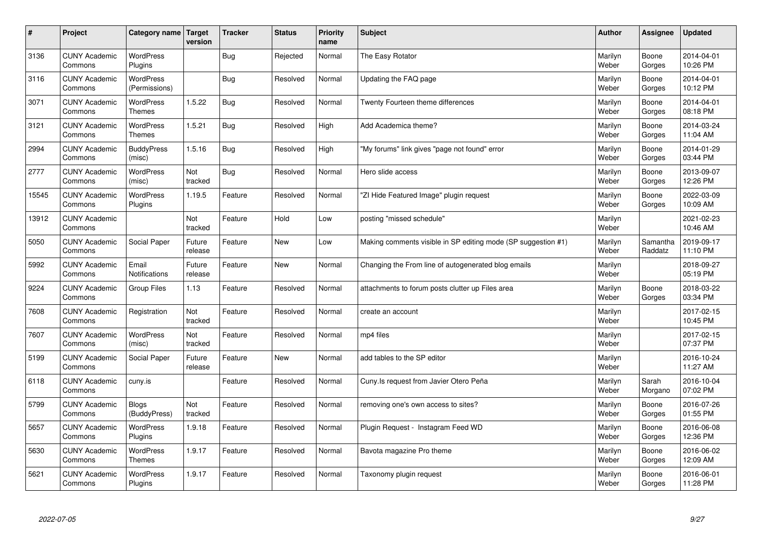| $\sharp$ | Project                         | Category name   Target            | version           | <b>Tracker</b> | <b>Status</b> | <b>Priority</b><br>name | <b>Subject</b>                                                | <b>Author</b>    | <b>Assignee</b>     | <b>Updated</b>         |
|----------|---------------------------------|-----------------------------------|-------------------|----------------|---------------|-------------------------|---------------------------------------------------------------|------------------|---------------------|------------------------|
| 3136     | <b>CUNY Academic</b><br>Commons | <b>WordPress</b><br>Plugins       |                   | Bug            | Rejected      | Normal                  | The Easy Rotator                                              | Marilyn<br>Weber | Boone<br>Gorges     | 2014-04-01<br>10:26 PM |
| 3116     | <b>CUNY Academic</b><br>Commons | <b>WordPress</b><br>(Permissions) |                   | Bug            | Resolved      | Normal                  | Updating the FAQ page                                         | Marilyn<br>Weber | Boone<br>Gorges     | 2014-04-01<br>10:12 PM |
| 3071     | <b>CUNY Academic</b><br>Commons | WordPress<br><b>Themes</b>        | 1.5.22            | Bug            | Resolved      | Normal                  | Twenty Fourteen theme differences                             | Marilyn<br>Weber | Boone<br>Gorges     | 2014-04-01<br>08:18 PM |
| 3121     | <b>CUNY Academic</b><br>Commons | <b>WordPress</b><br><b>Themes</b> | 1.5.21            | Bug            | Resolved      | High                    | Add Academica theme?                                          | Marilyn<br>Weber | Boone<br>Gorges     | 2014-03-24<br>11:04 AM |
| 2994     | <b>CUNY Academic</b><br>Commons | <b>BuddyPress</b><br>(misc)       | 1.5.16            | Bug            | Resolved      | High                    | "My forums" link gives "page not found" error                 | Marilyn<br>Weber | Boone<br>Gorges     | 2014-01-29<br>03:44 PM |
| 2777     | <b>CUNY Academic</b><br>Commons | WordPress<br>(misc)               | Not<br>tracked    | Bug            | Resolved      | Normal                  | Hero slide access                                             | Marilyn<br>Weber | Boone<br>Gorges     | 2013-09-07<br>12:26 PM |
| 15545    | <b>CUNY Academic</b><br>Commons | <b>WordPress</b><br>Plugins       | 1.19.5            | Feature        | Resolved      | Normal                  | "ZI Hide Featured Image" plugin request                       | Marilyn<br>Weber | Boone<br>Gorges     | 2022-03-09<br>10:09 AM |
| 13912    | <b>CUNY Academic</b><br>Commons |                                   | Not<br>tracked    | Feature        | Hold          | Low                     | posting "missed schedule"                                     | Marilyn<br>Weber |                     | 2021-02-23<br>10:46 AM |
| 5050     | <b>CUNY Academic</b><br>Commons | Social Paper                      | Future<br>release | Feature        | New           | Low                     | Making comments visible in SP editing mode (SP suggestion #1) | Marilyn<br>Weber | Samantha<br>Raddatz | 2019-09-17<br>11:10 PM |
| 5992     | <b>CUNY Academic</b><br>Commons | Email<br>Notifications            | Future<br>release | Feature        | <b>New</b>    | Normal                  | Changing the From line of autogenerated blog emails           | Marilyn<br>Weber |                     | 2018-09-27<br>05:19 PM |
| 9224     | <b>CUNY Academic</b><br>Commons | <b>Group Files</b>                | 1.13              | Feature        | Resolved      | Normal                  | attachments to forum posts clutter up Files area              | Marilyn<br>Weber | Boone<br>Gorges     | 2018-03-22<br>03:34 PM |
| 7608     | <b>CUNY Academic</b><br>Commons | Registration                      | Not<br>tracked    | Feature        | Resolved      | Normal                  | create an account                                             | Marilyn<br>Weber |                     | 2017-02-15<br>10:45 PM |
| 7607     | <b>CUNY Academic</b><br>Commons | WordPress<br>(misc)               | Not<br>tracked    | Feature        | Resolved      | Normal                  | mp4 files                                                     | Marilyn<br>Weber |                     | 2017-02-15<br>07:37 PM |
| 5199     | <b>CUNY Academic</b><br>Commons | Social Paper                      | Future<br>release | Feature        | New           | Normal                  | add tables to the SP editor                                   | Marilyn<br>Weber |                     | 2016-10-24<br>11:27 AM |
| 6118     | <b>CUNY Academic</b><br>Commons | cuny.is                           |                   | Feature        | Resolved      | Normal                  | Cuny. Is request from Javier Otero Peña                       | Marilyn<br>Weber | Sarah<br>Morgano    | 2016-10-04<br>07:02 PM |
| 5799     | <b>CUNY Academic</b><br>Commons | <b>Blogs</b><br>(BuddyPress)      | Not<br>tracked    | Feature        | Resolved      | Normal                  | removing one's own access to sites?                           | Marilyn<br>Weber | Boone<br>Gorges     | 2016-07-26<br>01:55 PM |
| 5657     | <b>CUNY Academic</b><br>Commons | WordPress<br>Plugins              | 1.9.18            | Feature        | Resolved      | Normal                  | Plugin Request - Instagram Feed WD                            | Marilyn<br>Weber | Boone<br>Gorges     | 2016-06-08<br>12:36 PM |
| 5630     | <b>CUNY Academic</b><br>Commons | WordPress<br><b>Themes</b>        | 1.9.17            | Feature        | Resolved      | Normal                  | Bavota magazine Pro theme                                     | Marilyn<br>Weber | Boone<br>Gorges     | 2016-06-02<br>12:09 AM |
| 5621     | <b>CUNY Academic</b><br>Commons | <b>WordPress</b><br>Plugins       | 1.9.17            | Feature        | Resolved      | Normal                  | Taxonomy plugin request                                       | Marilyn<br>Weber | Boone<br>Gorges     | 2016-06-01<br>11:28 PM |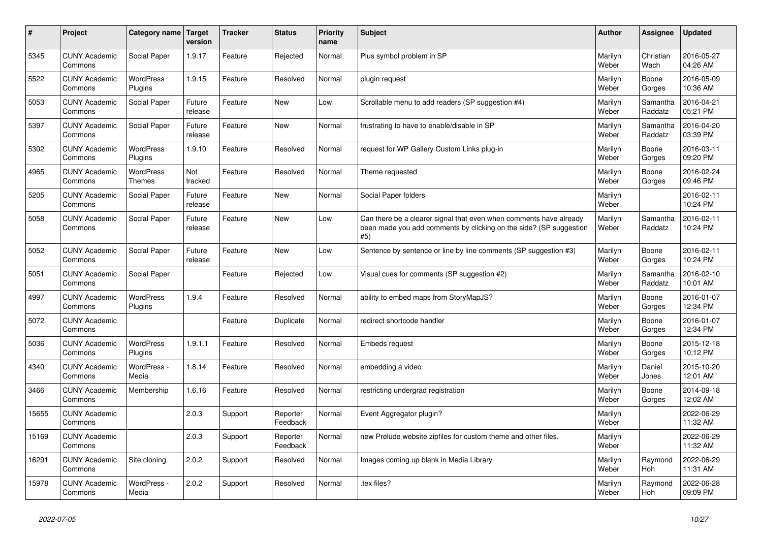| #     | Project                         | Category name   Target      | version           | <b>Tracker</b> | <b>Status</b>        | <b>Priority</b><br>name | <b>Subject</b>                                                                                                                                  | <b>Author</b>    | Assignee            | <b>Updated</b>         |
|-------|---------------------------------|-----------------------------|-------------------|----------------|----------------------|-------------------------|-------------------------------------------------------------------------------------------------------------------------------------------------|------------------|---------------------|------------------------|
| 5345  | <b>CUNY Academic</b><br>Commons | Social Paper                | 1.9.17            | Feature        | Rejected             | Normal                  | Plus symbol problem in SP                                                                                                                       | Marilyn<br>Weber | Christian<br>Wach   | 2016-05-27<br>04:26 AM |
| 5522  | <b>CUNY Academic</b><br>Commons | <b>WordPress</b><br>Plugins | 1.9.15            | Feature        | Resolved             | Normal                  | plugin request                                                                                                                                  | Marilyn<br>Weber | Boone<br>Gorges     | 2016-05-09<br>10:36 AM |
| 5053  | <b>CUNY Academic</b><br>Commons | Social Paper                | Future<br>release | Feature        | <b>New</b>           | Low                     | Scrollable menu to add readers (SP suggestion #4)                                                                                               | Marilyn<br>Weber | Samantha<br>Raddatz | 2016-04-21<br>05:21 PM |
| 5397  | <b>CUNY Academic</b><br>Commons | Social Paper                | Future<br>release | Feature        | <b>New</b>           | Normal                  | frustrating to have to enable/disable in SP                                                                                                     | Marilyn<br>Weber | Samantha<br>Raddatz | 2016-04-20<br>03:39 PM |
| 5302  | <b>CUNY Academic</b><br>Commons | WordPress<br>Plugins        | 1.9.10            | Feature        | Resolved             | Normal                  | request for WP Gallery Custom Links plug-in                                                                                                     | Marilyn<br>Weber | Boone<br>Gorges     | 2016-03-11<br>09:20 PM |
| 4965  | <b>CUNY Academic</b><br>Commons | WordPress<br><b>Themes</b>  | Not<br>tracked    | Feature        | Resolved             | Normal                  | Theme requested                                                                                                                                 | Marilyn<br>Weber | Boone<br>Gorges     | 2016-02-24<br>09:46 PM |
| 5205  | <b>CUNY Academic</b><br>Commons | Social Paper                | Future<br>release | Feature        | New                  | Normal                  | Social Paper folders                                                                                                                            | Marilyn<br>Weber |                     | 2016-02-11<br>10:24 PM |
| 5058  | <b>CUNY Academic</b><br>Commons | Social Paper                | Future<br>release | Feature        | <b>New</b>           | Low                     | Can there be a clearer signal that even when comments have already<br>been made you add comments by clicking on the side? (SP suggestion<br>#5) | Marilyn<br>Weber | Samantha<br>Raddatz | 2016-02-11<br>10:24 PM |
| 5052  | <b>CUNY Academic</b><br>Commons | Social Paper                | Future<br>release | Feature        | <b>New</b>           | Low                     | Sentence by sentence or line by line comments (SP suggestion #3)                                                                                | Marilyn<br>Weber | Boone<br>Gorges     | 2016-02-11<br>10:24 PM |
| 5051  | <b>CUNY Academic</b><br>Commons | Social Paper                |                   | Feature        | Rejected             | Low                     | Visual cues for comments (SP suggestion #2)                                                                                                     | Marilyn<br>Weber | Samantha<br>Raddatz | 2016-02-10<br>10:01 AM |
| 4997  | <b>CUNY Academic</b><br>Commons | WordPress<br>Plugins        | 1.9.4             | Feature        | Resolved             | Normal                  | ability to embed maps from StoryMapJS?                                                                                                          | Marilyn<br>Weber | Boone<br>Gorges     | 2016-01-07<br>12:34 PM |
| 5072  | <b>CUNY Academic</b><br>Commons |                             |                   | Feature        | Duplicate            | Normal                  | redirect shortcode handler                                                                                                                      | Marilyn<br>Weber | Boone<br>Gorges     | 2016-01-07<br>12:34 PM |
| 5036  | <b>CUNY Academic</b><br>Commons | <b>WordPress</b><br>Plugins | 1.9.1.1           | Feature        | Resolved             | Normal                  | Embeds request                                                                                                                                  | Marilyn<br>Weber | Boone<br>Gorges     | 2015-12-18<br>10:12 PM |
| 4340  | <b>CUNY Academic</b><br>Commons | WordPress -<br>Media        | 1.8.14            | Feature        | Resolved             | Normal                  | embedding a video                                                                                                                               | Marilyn<br>Weber | Daniel<br>Jones     | 2015-10-20<br>12:01 AM |
| 3466  | <b>CUNY Academic</b><br>Commons | Membership                  | 1.6.16            | Feature        | Resolved             | Normal                  | restricting undergrad registration                                                                                                              | Marilyn<br>Weber | Boone<br>Gorges     | 2014-09-18<br>12:02 AM |
| 15655 | <b>CUNY Academic</b><br>Commons |                             | 2.0.3             | Support        | Reporter<br>Feedback | Normal                  | Event Aggregator plugin?                                                                                                                        | Marilyn<br>Weber |                     | 2022-06-29<br>11:32 AM |
| 15169 | <b>CUNY Academic</b><br>Commons |                             | 2.0.3             | Support        | Reporter<br>Feedback | Normal                  | new Prelude website zipfiles for custom theme and other files.                                                                                  | Marilyn<br>Weber |                     | 2022-06-29<br>11:32 AM |
| 16291 | <b>CUNY Academic</b><br>Commons | Site cloning                | 2.0.2             | Support        | Resolved             | Normal                  | Images coming up blank in Media Library                                                                                                         | Marilyn<br>Weber | Raymond<br>Hoh      | 2022-06-29<br>11:31 AM |
| 15978 | <b>CUNY Academic</b><br>Commons | WordPress -<br>Media        | 2.0.2             | Support        | Resolved             | Normal                  | .tex files?                                                                                                                                     | Marilyn<br>Weber | Raymond<br>Hoh      | 2022-06-28<br>09:09 PM |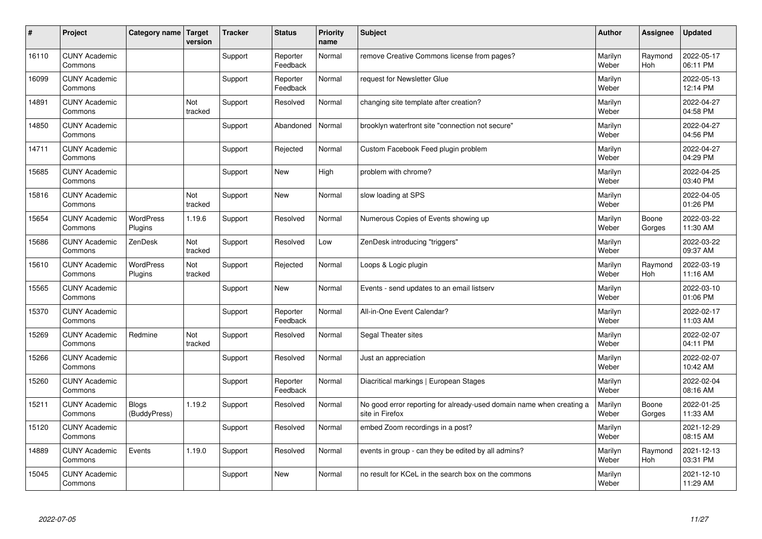| $\vert$ # | Project                         | Category name   Target       | version        | <b>Tracker</b> | <b>Status</b>        | <b>Priority</b><br>name | <b>Subject</b>                                                                          | <b>Author</b>    | Assignee              | <b>Updated</b>         |
|-----------|---------------------------------|------------------------------|----------------|----------------|----------------------|-------------------------|-----------------------------------------------------------------------------------------|------------------|-----------------------|------------------------|
| 16110     | <b>CUNY Academic</b><br>Commons |                              |                | Support        | Reporter<br>Feedback | Normal                  | remove Creative Commons license from pages?                                             | Marilyn<br>Weber | Raymond<br><b>Hoh</b> | 2022-05-17<br>06:11 PM |
| 16099     | <b>CUNY Academic</b><br>Commons |                              |                | Support        | Reporter<br>Feedback | Normal                  | request for Newsletter Glue                                                             | Marilyn<br>Weber |                       | 2022-05-13<br>12:14 PM |
| 14891     | <b>CUNY Academic</b><br>Commons |                              | Not<br>tracked | Support        | Resolved             | Normal                  | changing site template after creation?                                                  | Marilyn<br>Weber |                       | 2022-04-27<br>04:58 PM |
| 14850     | <b>CUNY Academic</b><br>Commons |                              |                | Support        | Abandoned            | Normal                  | brooklyn waterfront site "connection not secure"                                        | Marilyn<br>Weber |                       | 2022-04-27<br>04:56 PM |
| 14711     | <b>CUNY Academic</b><br>Commons |                              |                | Support        | Rejected             | Normal                  | Custom Facebook Feed plugin problem                                                     | Marilyn<br>Weber |                       | 2022-04-27<br>04:29 PM |
| 15685     | <b>CUNY Academic</b><br>Commons |                              |                | Support        | <b>New</b>           | High                    | problem with chrome?                                                                    | Marilyn<br>Weber |                       | 2022-04-25<br>03:40 PM |
| 15816     | <b>CUNY Academic</b><br>Commons |                              | Not<br>tracked | Support        | <b>New</b>           | Normal                  | slow loading at SPS                                                                     | Marilyn<br>Weber |                       | 2022-04-05<br>01:26 PM |
| 15654     | <b>CUNY Academic</b><br>Commons | <b>WordPress</b><br>Plugins  | 1.19.6         | Support        | Resolved             | Normal                  | Numerous Copies of Events showing up                                                    | Marilyn<br>Weber | Boone<br>Gorges       | 2022-03-22<br>11:30 AM |
| 15686     | <b>CUNY Academic</b><br>Commons | ZenDesk                      | Not<br>tracked | Support        | Resolved             | Low                     | ZenDesk introducing "triggers"                                                          | Marilyn<br>Weber |                       | 2022-03-22<br>09:37 AM |
| 15610     | <b>CUNY Academic</b><br>Commons | WordPress<br>Plugins         | Not<br>tracked | Support        | Rejected             | Normal                  | Loops & Logic plugin                                                                    | Marilyn<br>Weber | Raymond<br>Hoh        | 2022-03-19<br>11:16 AM |
| 15565     | <b>CUNY Academic</b><br>Commons |                              |                | Support        | <b>New</b>           | Normal                  | Events - send updates to an email listserv                                              | Marilyn<br>Weber |                       | 2022-03-10<br>01:06 PM |
| 15370     | <b>CUNY Academic</b><br>Commons |                              |                | Support        | Reporter<br>Feedback | Normal                  | All-in-One Event Calendar?                                                              | Marilyn<br>Weber |                       | 2022-02-17<br>11:03 AM |
| 15269     | <b>CUNY Academic</b><br>Commons | Redmine                      | Not<br>tracked | Support        | Resolved             | Normal                  | Segal Theater sites                                                                     | Marilyn<br>Weber |                       | 2022-02-07<br>04:11 PM |
| 15266     | <b>CUNY Academic</b><br>Commons |                              |                | Support        | Resolved             | Normal                  | Just an appreciation                                                                    | Marilyn<br>Weber |                       | 2022-02-07<br>10:42 AM |
| 15260     | <b>CUNY Academic</b><br>Commons |                              |                | Support        | Reporter<br>Feedback | Normal                  | Diacritical markings   European Stages                                                  | Marilyn<br>Weber |                       | 2022-02-04<br>08:16 AM |
| 15211     | <b>CUNY Academic</b><br>Commons | <b>Blogs</b><br>(BuddyPress) | 1.19.2         | Support        | Resolved             | Normal                  | No good error reporting for already-used domain name when creating a<br>site in Firefox | Marilyn<br>Weber | Boone<br>Gorges       | 2022-01-25<br>11:33 AM |
| 15120     | <b>CUNY Academic</b><br>Commons |                              |                | Support        | Resolved             | Normal                  | embed Zoom recordings in a post?                                                        | Marilyn<br>Weber |                       | 2021-12-29<br>08:15 AM |
| 14889     | <b>CUNY Academic</b><br>Commons | Events                       | 1.19.0         | Support        | Resolved             | Normal                  | events in group - can they be edited by all admins?                                     | Marilyn<br>Weber | Raymond<br>Hoh        | 2021-12-13<br>03:31 PM |
| 15045     | <b>CUNY Academic</b><br>Commons |                              |                | Support        | <b>New</b>           | Normal                  | no result for KCeL in the search box on the commons                                     | Marilyn<br>Weber |                       | 2021-12-10<br>11:29 AM |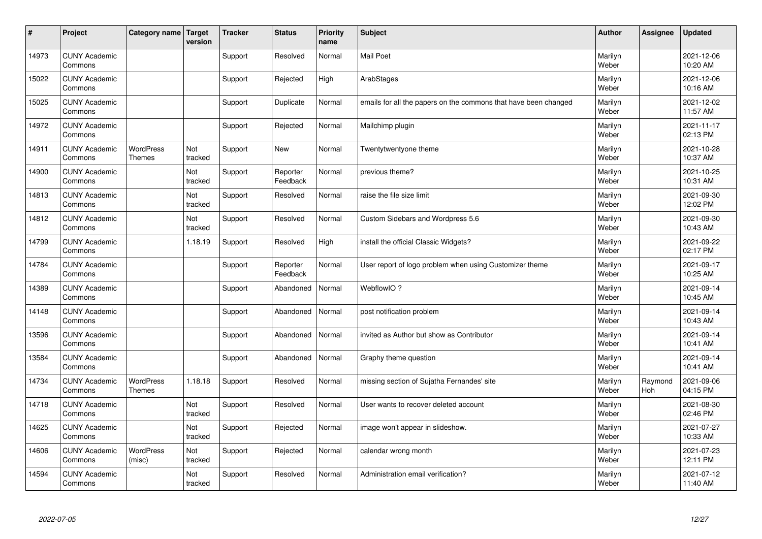| #     | Project                         | Category name   Target            | version        | <b>Tracker</b> | <b>Status</b>        | <b>Priority</b><br>name | <b>Subject</b>                                                  | <b>Author</b>    | <b>Assignee</b> | <b>Updated</b>         |
|-------|---------------------------------|-----------------------------------|----------------|----------------|----------------------|-------------------------|-----------------------------------------------------------------|------------------|-----------------|------------------------|
| 14973 | <b>CUNY Academic</b><br>Commons |                                   |                | Support        | Resolved             | Normal                  | <b>Mail Poet</b>                                                | Marilyn<br>Weber |                 | 2021-12-06<br>10:20 AM |
| 15022 | <b>CUNY Academic</b><br>Commons |                                   |                | Support        | Rejected             | High                    | ArabStages                                                      | Marilyn<br>Weber |                 | 2021-12-06<br>10:16 AM |
| 15025 | <b>CUNY Academic</b><br>Commons |                                   |                | Support        | Duplicate            | Normal                  | emails for all the papers on the commons that have been changed | Marilyn<br>Weber |                 | 2021-12-02<br>11:57 AM |
| 14972 | <b>CUNY Academic</b><br>Commons |                                   |                | Support        | Rejected             | Normal                  | Mailchimp plugin                                                | Marilyn<br>Weber |                 | 2021-11-17<br>02:13 PM |
| 14911 | <b>CUNY Academic</b><br>Commons | <b>WordPress</b><br><b>Themes</b> | Not<br>tracked | Support        | <b>New</b>           | Normal                  | Twentytwentyone theme                                           | Marilyn<br>Weber |                 | 2021-10-28<br>10:37 AM |
| 14900 | <b>CUNY Academic</b><br>Commons |                                   | Not<br>tracked | Support        | Reporter<br>Feedback | Normal                  | previous theme?                                                 | Marilyn<br>Weber |                 | 2021-10-25<br>10:31 AM |
| 14813 | <b>CUNY Academic</b><br>Commons |                                   | Not<br>tracked | Support        | Resolved             | Normal                  | raise the file size limit                                       | Marilyn<br>Weber |                 | 2021-09-30<br>12:02 PM |
| 14812 | <b>CUNY Academic</b><br>Commons |                                   | Not<br>tracked | Support        | Resolved             | Normal                  | Custom Sidebars and Wordpress 5.6                               | Marilyn<br>Weber |                 | 2021-09-30<br>10:43 AM |
| 14799 | <b>CUNY Academic</b><br>Commons |                                   | 1.18.19        | Support        | Resolved             | High                    | install the official Classic Widgets?                           | Marilyn<br>Weber |                 | 2021-09-22<br>02:17 PM |
| 14784 | <b>CUNY Academic</b><br>Commons |                                   |                | Support        | Reporter<br>Feedback | Normal                  | User report of logo problem when using Customizer theme         | Marilyn<br>Weber |                 | 2021-09-17<br>10:25 AM |
| 14389 | <b>CUNY Academic</b><br>Commons |                                   |                | Support        | Abandoned            | Normal                  | WebflowIO?                                                      | Marilyn<br>Weber |                 | 2021-09-14<br>10:45 AM |
| 14148 | <b>CUNY Academic</b><br>Commons |                                   |                | Support        | Abandoned            | Normal                  | post notification problem                                       | Marilyn<br>Weber |                 | 2021-09-14<br>10:43 AM |
| 13596 | <b>CUNY Academic</b><br>Commons |                                   |                | Support        | Abandoned            | Normal                  | invited as Author but show as Contributor                       | Marilyn<br>Weber |                 | 2021-09-14<br>10:41 AM |
| 13584 | <b>CUNY Academic</b><br>Commons |                                   |                | Support        | Abandoned            | Normal                  | Graphy theme question                                           | Marilyn<br>Weber |                 | 2021-09-14<br>10:41 AM |
| 14734 | <b>CUNY Academic</b><br>Commons | <b>WordPress</b><br>Themes        | 1.18.18        | Support        | Resolved             | Normal                  | missing section of Sujatha Fernandes' site                      | Marilyn<br>Weber | Raymond<br>Hoh  | 2021-09-06<br>04:15 PM |
| 14718 | <b>CUNY Academic</b><br>Commons |                                   | Not<br>tracked | Support        | Resolved             | Normal                  | User wants to recover deleted account                           | Marilyn<br>Weber |                 | 2021-08-30<br>02:46 PM |
| 14625 | <b>CUNY Academic</b><br>Commons |                                   | Not<br>tracked | Support        | Rejected             | Normal                  | image won't appear in slideshow.                                | Marilyn<br>Weber |                 | 2021-07-27<br>10:33 AM |
| 14606 | <b>CUNY Academic</b><br>Commons | <b>WordPress</b><br>(misc)        | Not<br>tracked | Support        | Rejected             | Normal                  | calendar wrong month                                            | Marilyn<br>Weber |                 | 2021-07-23<br>12:11 PM |
| 14594 | <b>CUNY Academic</b><br>Commons |                                   | Not<br>tracked | Support        | Resolved             | Normal                  | Administration email verification?                              | Marilyn<br>Weber |                 | 2021-07-12<br>11:40 AM |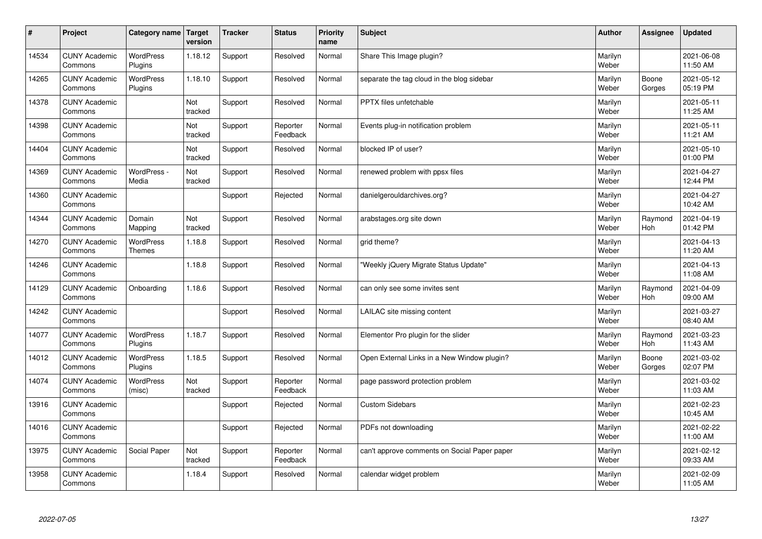| $\sharp$ | Project                         | Category name                     | Target<br>version | <b>Tracker</b> | <b>Status</b>        | <b>Priority</b><br>name | <b>Subject</b>                               | <b>Author</b>    | Assignee        | Updated                |
|----------|---------------------------------|-----------------------------------|-------------------|----------------|----------------------|-------------------------|----------------------------------------------|------------------|-----------------|------------------------|
| 14534    | <b>CUNY Academic</b><br>Commons | <b>WordPress</b><br>Plugins       | 1.18.12           | Support        | Resolved             | Normal                  | Share This Image plugin?                     | Marilyn<br>Weber |                 | 2021-06-08<br>11:50 AM |
| 14265    | <b>CUNY Academic</b><br>Commons | <b>WordPress</b><br>Plugins       | 1.18.10           | Support        | Resolved             | Normal                  | separate the tag cloud in the blog sidebar   | Marilyn<br>Weber | Boone<br>Gorges | 2021-05-12<br>05:19 PM |
| 14378    | <b>CUNY Academic</b><br>Commons |                                   | Not<br>tracked    | Support        | Resolved             | Normal                  | PPTX files unfetchable                       | Marilyn<br>Weber |                 | 2021-05-11<br>11:25 AM |
| 14398    | <b>CUNY Academic</b><br>Commons |                                   | Not<br>tracked    | Support        | Reporter<br>Feedback | Normal                  | Events plug-in notification problem          | Marilyn<br>Weber |                 | 2021-05-11<br>11:21 AM |
| 14404    | <b>CUNY Academic</b><br>Commons |                                   | Not<br>tracked    | Support        | Resolved             | Normal                  | blocked IP of user?                          | Marilyn<br>Weber |                 | 2021-05-10<br>01:00 PM |
| 14369    | <b>CUNY Academic</b><br>Commons | WordPress -<br>Media              | Not<br>tracked    | Support        | Resolved             | Normal                  | renewed problem with ppsx files              | Marilyn<br>Weber |                 | 2021-04-27<br>12:44 PM |
| 14360    | <b>CUNY Academic</b><br>Commons |                                   |                   | Support        | Rejected             | Normal                  | danielgerouldarchives.org?                   | Marilyn<br>Weber |                 | 2021-04-27<br>10:42 AM |
| 14344    | <b>CUNY Academic</b><br>Commons | Domain<br>Mapping                 | Not<br>tracked    | Support        | Resolved             | Normal                  | arabstages.org site down                     | Marilyn<br>Weber | Raymond<br>Hoh  | 2021-04-19<br>01:42 PM |
| 14270    | <b>CUNY Academic</b><br>Commons | <b>WordPress</b><br><b>Themes</b> | 1.18.8            | Support        | Resolved             | Normal                  | grid theme?                                  | Marilyn<br>Weber |                 | 2021-04-13<br>11:20 AM |
| 14246    | <b>CUNY Academic</b><br>Commons |                                   | 1.18.8            | Support        | Resolved             | Normal                  | 'Weekly jQuery Migrate Status Update"        | Marilyn<br>Weber |                 | 2021-04-13<br>11:08 AM |
| 14129    | <b>CUNY Academic</b><br>Commons | Onboarding                        | 1.18.6            | Support        | Resolved             | Normal                  | can only see some invites sent               | Marilyn<br>Weber | Raymond<br>Hoh  | 2021-04-09<br>09:00 AM |
| 14242    | <b>CUNY Academic</b><br>Commons |                                   |                   | Support        | Resolved             | Normal                  | LAILAC site missing content                  | Marilyn<br>Weber |                 | 2021-03-27<br>08:40 AM |
| 14077    | <b>CUNY Academic</b><br>Commons | WordPress<br>Plugins              | 1.18.7            | Support        | Resolved             | Normal                  | Elementor Pro plugin for the slider          | Marilyn<br>Weber | Raymond<br>Hoh  | 2021-03-23<br>11:43 AM |
| 14012    | <b>CUNY Academic</b><br>Commons | <b>WordPress</b><br>Plugins       | 1.18.5            | Support        | Resolved             | Normal                  | Open External Links in a New Window plugin?  | Marilyn<br>Weber | Boone<br>Gorges | 2021-03-02<br>02:07 PM |
| 14074    | <b>CUNY Academic</b><br>Commons | <b>WordPress</b><br>(misc)        | Not<br>tracked    | Support        | Reporter<br>Feedback | Normal                  | page password protection problem             | Marilyn<br>Weber |                 | 2021-03-02<br>11:03 AM |
| 13916    | <b>CUNY Academic</b><br>Commons |                                   |                   | Support        | Rejected             | Normal                  | <b>Custom Sidebars</b>                       | Marilyn<br>Weber |                 | 2021-02-23<br>10:45 AM |
| 14016    | <b>CUNY Academic</b><br>Commons |                                   |                   | Support        | Rejected             | Normal                  | PDFs not downloading                         | Marilyn<br>Weber |                 | 2021-02-22<br>11:00 AM |
| 13975    | <b>CUNY Academic</b><br>Commons | Social Paper                      | Not<br>tracked    | Support        | Reporter<br>Feedback | Normal                  | can't approve comments on Social Paper paper | Marilyn<br>Weber |                 | 2021-02-12<br>09:33 AM |
| 13958    | <b>CUNY Academic</b><br>Commons |                                   | 1.18.4            | Support        | Resolved             | Normal                  | calendar widget problem                      | Marilyn<br>Weber |                 | 2021-02-09<br>11:05 AM |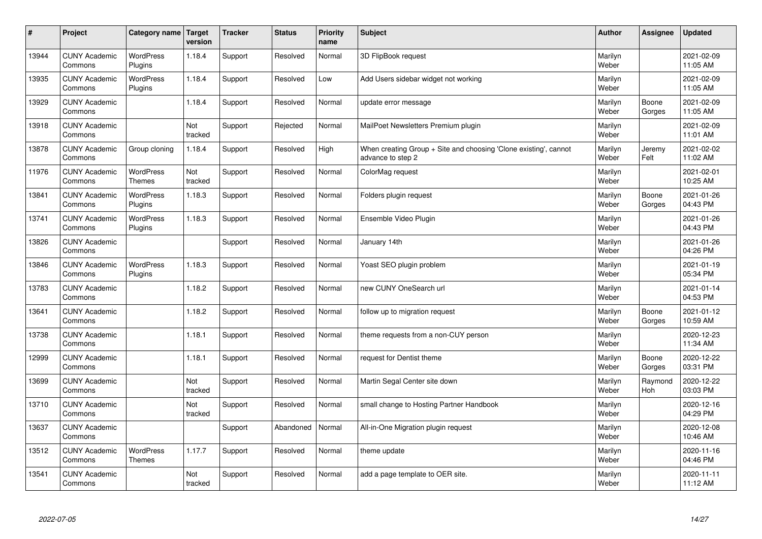| $\sharp$ | Project                         | Category name   Target            | version        | <b>Tracker</b> | <b>Status</b> | <b>Priority</b><br>name | <b>Subject</b>                                                                        | <b>Author</b>    | <b>Assignee</b>       | <b>Updated</b>         |
|----------|---------------------------------|-----------------------------------|----------------|----------------|---------------|-------------------------|---------------------------------------------------------------------------------------|------------------|-----------------------|------------------------|
| 13944    | <b>CUNY Academic</b><br>Commons | <b>WordPress</b><br>Plugins       | 1.18.4         | Support        | Resolved      | Normal                  | 3D FlipBook request                                                                   | Marilyn<br>Weber |                       | 2021-02-09<br>11:05 AM |
| 13935    | <b>CUNY Academic</b><br>Commons | <b>WordPress</b><br>Plugins       | 1.18.4         | Support        | Resolved      | Low                     | Add Users sidebar widget not working                                                  | Marilyn<br>Weber |                       | 2021-02-09<br>11:05 AM |
| 13929    | <b>CUNY Academic</b><br>Commons |                                   | 1.18.4         | Support        | Resolved      | Normal                  | update error message                                                                  | Marilyn<br>Weber | Boone<br>Gorges       | 2021-02-09<br>11:05 AM |
| 13918    | <b>CUNY Academic</b><br>Commons |                                   | Not<br>tracked | Support        | Rejected      | Normal                  | MailPoet Newsletters Premium plugin                                                   | Marilyn<br>Weber |                       | 2021-02-09<br>11:01 AM |
| 13878    | <b>CUNY Academic</b><br>Commons | Group cloning                     | 1.18.4         | Support        | Resolved      | High                    | When creating Group + Site and choosing 'Clone existing', cannot<br>advance to step 2 | Marilyn<br>Weber | Jeremy<br>Felt        | 2021-02-02<br>11:02 AM |
| 11976    | <b>CUNY Academic</b><br>Commons | <b>WordPress</b><br><b>Themes</b> | Not<br>tracked | Support        | Resolved      | Normal                  | ColorMag request                                                                      | Marilyn<br>Weber |                       | 2021-02-01<br>10:25 AM |
| 13841    | <b>CUNY Academic</b><br>Commons | <b>WordPress</b><br>Plugins       | 1.18.3         | Support        | Resolved      | Normal                  | Folders plugin request                                                                | Marilyn<br>Weber | Boone<br>Gorges       | 2021-01-26<br>04:43 PM |
| 13741    | <b>CUNY Academic</b><br>Commons | WordPress<br>Plugins              | 1.18.3         | Support        | Resolved      | Normal                  | Ensemble Video Plugin                                                                 | Marilyn<br>Weber |                       | 2021-01-26<br>04:43 PM |
| 13826    | <b>CUNY Academic</b><br>Commons |                                   |                | Support        | Resolved      | Normal                  | January 14th                                                                          | Marilyn<br>Weber |                       | 2021-01-26<br>04:26 PM |
| 13846    | <b>CUNY Academic</b><br>Commons | WordPress<br>Plugins              | 1.18.3         | Support        | Resolved      | Normal                  | Yoast SEO plugin problem                                                              | Marilyn<br>Weber |                       | 2021-01-19<br>05:34 PM |
| 13783    | <b>CUNY Academic</b><br>Commons |                                   | 1.18.2         | Support        | Resolved      | Normal                  | new CUNY OneSearch url                                                                | Marilyn<br>Weber |                       | 2021-01-14<br>04:53 PM |
| 13641    | <b>CUNY Academic</b><br>Commons |                                   | 1.18.2         | Support        | Resolved      | Normal                  | follow up to migration request                                                        | Marilyn<br>Weber | Boone<br>Gorges       | 2021-01-12<br>10:59 AM |
| 13738    | <b>CUNY Academic</b><br>Commons |                                   | 1.18.1         | Support        | Resolved      | Normal                  | theme requests from a non-CUY person                                                  | Marilyn<br>Weber |                       | 2020-12-23<br>11:34 AM |
| 12999    | <b>CUNY Academic</b><br>Commons |                                   | 1.18.1         | Support        | Resolved      | Normal                  | request for Dentist theme                                                             | Marilyn<br>Weber | Boone<br>Gorges       | 2020-12-22<br>03:31 PM |
| 13699    | <b>CUNY Academic</b><br>Commons |                                   | Not<br>tracked | Support        | Resolved      | Normal                  | Martin Segal Center site down                                                         | Marilyn<br>Weber | Raymond<br><b>Hoh</b> | 2020-12-22<br>03:03 PM |
| 13710    | <b>CUNY Academic</b><br>Commons |                                   | Not<br>tracked | Support        | Resolved      | Normal                  | small change to Hosting Partner Handbook                                              | Marilyn<br>Weber |                       | 2020-12-16<br>04:29 PM |
| 13637    | <b>CUNY Academic</b><br>Commons |                                   |                | Support        | Abandoned     | Normal                  | All-in-One Migration plugin request                                                   | Marilyn<br>Weber |                       | 2020-12-08<br>10:46 AM |
| 13512    | <b>CUNY Academic</b><br>Commons | <b>WordPress</b><br><b>Themes</b> | 1.17.7         | Support        | Resolved      | Normal                  | theme update                                                                          | Marilyn<br>Weber |                       | 2020-11-16<br>04:46 PM |
| 13541    | <b>CUNY Academic</b><br>Commons |                                   | Not<br>tracked | Support        | Resolved      | Normal                  | add a page template to OER site.                                                      | Marilyn<br>Weber |                       | 2020-11-11<br>11:12 AM |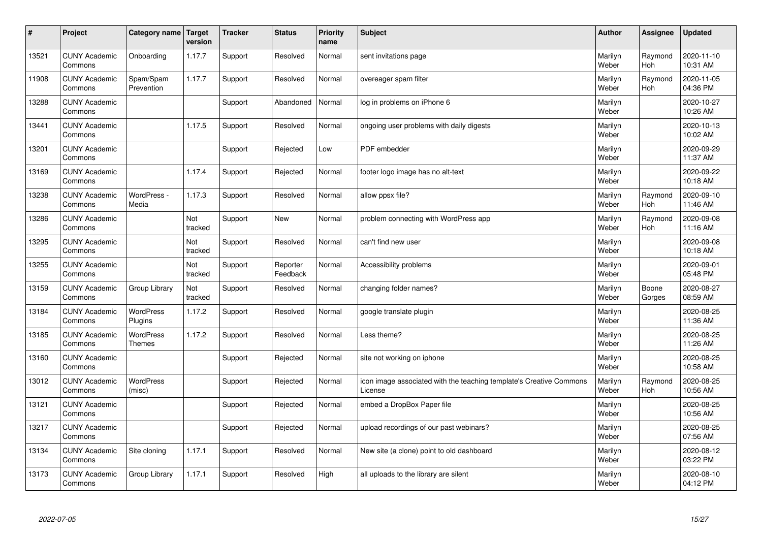| #     | Project                         | Category name   Target            | version        | <b>Tracker</b> | <b>Status</b>        | Priority<br>name | <b>Subject</b>                                                                 | <b>Author</b>    | <b>Assignee</b>       | <b>Updated</b>         |
|-------|---------------------------------|-----------------------------------|----------------|----------------|----------------------|------------------|--------------------------------------------------------------------------------|------------------|-----------------------|------------------------|
| 13521 | <b>CUNY Academic</b><br>Commons | Onboarding                        | 1.17.7         | Support        | Resolved             | Normal           | sent invitations page                                                          | Marilyn<br>Weber | Raymond<br><b>Hoh</b> | 2020-11-10<br>10:31 AM |
| 11908 | <b>CUNY Academic</b><br>Commons | Spam/Spam<br>Prevention           | 1.17.7         | Support        | Resolved             | Normal           | overeager spam filter                                                          | Marilyn<br>Weber | Raymond<br><b>Hoh</b> | 2020-11-05<br>04:36 PM |
| 13288 | <b>CUNY Academic</b><br>Commons |                                   |                | Support        | Abandoned            | Normal           | log in problems on iPhone 6                                                    | Marilyn<br>Weber |                       | 2020-10-27<br>10:26 AM |
| 13441 | <b>CUNY Academic</b><br>Commons |                                   | 1.17.5         | Support        | Resolved             | Normal           | ongoing user problems with daily digests                                       | Marilyn<br>Weber |                       | 2020-10-13<br>10:02 AM |
| 13201 | <b>CUNY Academic</b><br>Commons |                                   |                | Support        | Rejected             | Low              | PDF embedder                                                                   | Marilyn<br>Weber |                       | 2020-09-29<br>11:37 AM |
| 13169 | <b>CUNY Academic</b><br>Commons |                                   | 1.17.4         | Support        | Rejected             | Normal           | footer logo image has no alt-text                                              | Marilyn<br>Weber |                       | 2020-09-22<br>10:18 AM |
| 13238 | <b>CUNY Academic</b><br>Commons | WordPress -<br>Media              | 1.17.3         | Support        | Resolved             | Normal           | allow ppsx file?                                                               | Marilyn<br>Weber | Raymond<br><b>Hoh</b> | 2020-09-10<br>11:46 AM |
| 13286 | <b>CUNY Academic</b><br>Commons |                                   | Not<br>tracked | Support        | <b>New</b>           | Normal           | problem connecting with WordPress app                                          | Marilyn<br>Weber | Raymond<br><b>Hoh</b> | 2020-09-08<br>11:16 AM |
| 13295 | <b>CUNY Academic</b><br>Commons |                                   | Not<br>tracked | Support        | Resolved             | Normal           | can't find new user                                                            | Marilyn<br>Weber |                       | 2020-09-08<br>10:18 AM |
| 13255 | <b>CUNY Academic</b><br>Commons |                                   | Not<br>tracked | Support        | Reporter<br>Feedback | Normal           | Accessibility problems                                                         | Marilyn<br>Weber |                       | 2020-09-01<br>05:48 PM |
| 13159 | <b>CUNY Academic</b><br>Commons | Group Library                     | Not<br>tracked | Support        | Resolved             | Normal           | changing folder names?                                                         | Marilyn<br>Weber | Boone<br>Gorges       | 2020-08-27<br>08:59 AM |
| 13184 | <b>CUNY Academic</b><br>Commons | <b>WordPress</b><br>Plugins       | 1.17.2         | Support        | Resolved             | Normal           | google translate plugin                                                        | Marilyn<br>Weber |                       | 2020-08-25<br>11:36 AM |
| 13185 | <b>CUNY Academic</b><br>Commons | <b>WordPress</b><br><b>Themes</b> | 1.17.2         | Support        | Resolved             | Normal           | Less theme?                                                                    | Marilyn<br>Weber |                       | 2020-08-25<br>11:26 AM |
| 13160 | <b>CUNY Academic</b><br>Commons |                                   |                | Support        | Rejected             | Normal           | site not working on iphone                                                     | Marilyn<br>Weber |                       | 2020-08-25<br>10:58 AM |
| 13012 | <b>CUNY Academic</b><br>Commons | <b>WordPress</b><br>(misc)        |                | Support        | Rejected             | Normal           | icon image associated with the teaching template's Creative Commons<br>License | Marilyn<br>Weber | Raymond<br>Hoh        | 2020-08-25<br>10:56 AM |
| 13121 | <b>CUNY Academic</b><br>Commons |                                   |                | Support        | Rejected             | Normal           | embed a DropBox Paper file                                                     | Marilyn<br>Weber |                       | 2020-08-25<br>10:56 AM |
| 13217 | <b>CUNY Academic</b><br>Commons |                                   |                | Support        | Rejected             | Normal           | upload recordings of our past webinars?                                        | Marilyn<br>Weber |                       | 2020-08-25<br>07:56 AM |
| 13134 | <b>CUNY Academic</b><br>Commons | Site cloning                      | 1.17.1         | Support        | Resolved             | Normal           | New site (a clone) point to old dashboard                                      | Marilyn<br>Weber |                       | 2020-08-12<br>03:22 PM |
| 13173 | <b>CUNY Academic</b><br>Commons | Group Library                     | 1.17.1         | Support        | Resolved             | High             | all uploads to the library are silent                                          | Marilyn<br>Weber |                       | 2020-08-10<br>04:12 PM |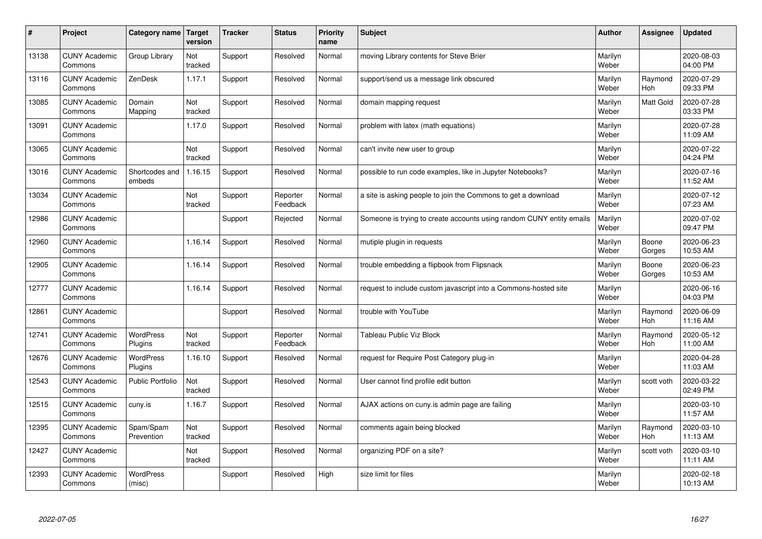| #     | Project                         | Category name   Target      | version        | <b>Tracker</b> | <b>Status</b>        | <b>Priority</b><br>name | <b>Subject</b>                                                       | <b>Author</b>    | Assignee              | Updated                |
|-------|---------------------------------|-----------------------------|----------------|----------------|----------------------|-------------------------|----------------------------------------------------------------------|------------------|-----------------------|------------------------|
| 13138 | <b>CUNY Academic</b><br>Commons | Group Library               | Not<br>tracked | Support        | Resolved             | Normal                  | moving Library contents for Steve Brier                              | Marilyn<br>Weber |                       | 2020-08-03<br>04:00 PM |
| 13116 | <b>CUNY Academic</b><br>Commons | ZenDesk                     | 1.17.1         | Support        | Resolved             | Normal                  | support/send us a message link obscured                              | Marilyn<br>Weber | Raymond<br>Hoh        | 2020-07-29<br>09:33 PM |
| 13085 | <b>CUNY Academic</b><br>Commons | Domain<br>Mapping           | Not<br>tracked | Support        | Resolved             | Normal                  | domain mapping request                                               | Marilyn<br>Weber | Matt Gold             | 2020-07-28<br>03:33 PM |
| 13091 | <b>CUNY Academic</b><br>Commons |                             | 1.17.0         | Support        | Resolved             | Normal                  | problem with latex (math equations)                                  | Marilyn<br>Weber |                       | 2020-07-28<br>11:09 AM |
| 13065 | <b>CUNY Academic</b><br>Commons |                             | Not<br>tracked | Support        | Resolved             | Normal                  | can't invite new user to group                                       | Marilyn<br>Weber |                       | 2020-07-22<br>04:24 PM |
| 13016 | <b>CUNY Academic</b><br>Commons | Shortcodes and<br>embeds    | 1.16.15        | Support        | Resolved             | Normal                  | possible to run code examples, like in Jupyter Notebooks?            | Marilyn<br>Weber |                       | 2020-07-16<br>11:52 AM |
| 13034 | <b>CUNY Academic</b><br>Commons |                             | Not<br>tracked | Support        | Reporter<br>Feedback | Normal                  | a site is asking people to join the Commons to get a download        | Marilyn<br>Weber |                       | 2020-07-12<br>07:23 AM |
| 12986 | <b>CUNY Academic</b><br>Commons |                             |                | Support        | Rejected             | Normal                  | Someone is trying to create accounts using random CUNY entity emails | Marilyn<br>Weber |                       | 2020-07-02<br>09:47 PM |
| 12960 | <b>CUNY Academic</b><br>Commons |                             | 1.16.14        | Support        | Resolved             | Normal                  | mutiple plugin in requests                                           | Marilyn<br>Weber | Boone<br>Gorges       | 2020-06-23<br>10:53 AM |
| 12905 | <b>CUNY Academic</b><br>Commons |                             | 1.16.14        | Support        | Resolved             | Normal                  | trouble embedding a flipbook from Flipsnack                          | Marilyn<br>Weber | Boone<br>Gorges       | 2020-06-23<br>10:53 AM |
| 12777 | <b>CUNY Academic</b><br>Commons |                             | 1.16.14        | Support        | Resolved             | Normal                  | request to include custom javascript into a Commons-hosted site      | Marilyn<br>Weber |                       | 2020-06-16<br>04:03 PM |
| 12861 | <b>CUNY Academic</b><br>Commons |                             |                | Support        | Resolved             | Normal                  | trouble with YouTube                                                 | Marilyn<br>Weber | Raymond<br><b>Hoh</b> | 2020-06-09<br>11:16 AM |
| 12741 | <b>CUNY Academic</b><br>Commons | <b>WordPress</b><br>Plugins | Not<br>tracked | Support        | Reporter<br>Feedback | Normal                  | <b>Tableau Public Viz Block</b>                                      | Marilyn<br>Weber | Raymond<br>Hoh        | 2020-05-12<br>11:00 AM |
| 12676 | <b>CUNY Academic</b><br>Commons | WordPress<br>Plugins        | 1.16.10        | Support        | Resolved             | Normal                  | request for Require Post Category plug-in                            | Marilyn<br>Weber |                       | 2020-04-28<br>11:03 AM |
| 12543 | <b>CUNY Academic</b><br>Commons | Public Portfolio            | Not<br>tracked | Support        | Resolved             | Normal                  | User cannot find profile edit button                                 | Marilyn<br>Weber | scott voth            | 2020-03-22<br>02:49 PM |
| 12515 | <b>CUNY Academic</b><br>Commons | cuny.is                     | 1.16.7         | Support        | Resolved             | Normal                  | AJAX actions on cuny is admin page are failing                       | Marilyn<br>Weber |                       | 2020-03-10<br>11:57 AM |
| 12395 | <b>CUNY Academic</b><br>Commons | Spam/Spam<br>Prevention     | Not<br>tracked | Support        | Resolved             | Normal                  | comments again being blocked                                         | Marilyn<br>Weber | Raymond<br>Hoh        | 2020-03-10<br>11:13 AM |
| 12427 | <b>CUNY Academic</b><br>Commons |                             | Not<br>tracked | Support        | Resolved             | Normal                  | organizing PDF on a site?                                            | Marilyn<br>Weber | scott voth            | 2020-03-10<br>11:11 AM |
| 12393 | <b>CUNY Academic</b><br>Commons | <b>WordPress</b><br>(misc)  |                | Support        | Resolved             | High                    | size limit for files                                                 | Marilyn<br>Weber |                       | 2020-02-18<br>10:13 AM |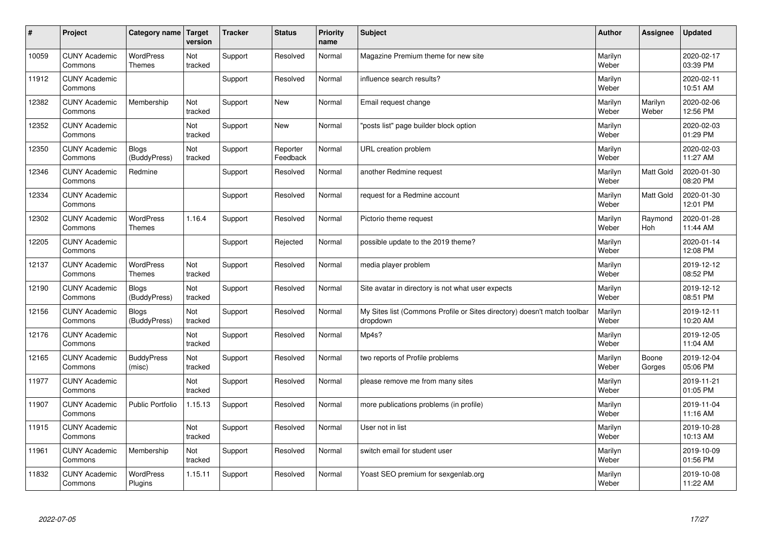| #     | Project                         | Category name                     | Target<br>version | <b>Tracker</b> | <b>Status</b>        | <b>Priority</b><br>name | <b>Subject</b>                                                                       | <b>Author</b>    | Assignee         | Updated                |
|-------|---------------------------------|-----------------------------------|-------------------|----------------|----------------------|-------------------------|--------------------------------------------------------------------------------------|------------------|------------------|------------------------|
| 10059 | <b>CUNY Academic</b><br>Commons | <b>WordPress</b><br><b>Themes</b> | Not<br>tracked    | Support        | Resolved             | Normal                  | Magazine Premium theme for new site                                                  | Marilyn<br>Weber |                  | 2020-02-17<br>03:39 PM |
| 11912 | <b>CUNY Academic</b><br>Commons |                                   |                   | Support        | Resolved             | Normal                  | influence search results?                                                            | Marilyn<br>Weber |                  | 2020-02-11<br>10:51 AM |
| 12382 | <b>CUNY Academic</b><br>Commons | Membership                        | Not<br>tracked    | Support        | <b>New</b>           | Normal                  | Email request change                                                                 | Marilyn<br>Weber | Marilyn<br>Weber | 2020-02-06<br>12:56 PM |
| 12352 | <b>CUNY Academic</b><br>Commons |                                   | Not<br>tracked    | Support        | <b>New</b>           | Normal                  | 'posts list" page builder block option                                               | Marilyn<br>Weber |                  | 2020-02-03<br>01:29 PM |
| 12350 | <b>CUNY Academic</b><br>Commons | <b>Blogs</b><br>(BuddyPress)      | Not<br>tracked    | Support        | Reporter<br>Feedback | Normal                  | URL creation problem                                                                 | Marilyn<br>Weber |                  | 2020-02-03<br>11:27 AM |
| 12346 | <b>CUNY Academic</b><br>Commons | Redmine                           |                   | Support        | Resolved             | Normal                  | another Redmine request                                                              | Marilyn<br>Weber | Matt Gold        | 2020-01-30<br>08:20 PM |
| 12334 | <b>CUNY Academic</b><br>Commons |                                   |                   | Support        | Resolved             | Normal                  | request for a Redmine account                                                        | Marilyn<br>Weber | Matt Gold        | 2020-01-30<br>12:01 PM |
| 12302 | <b>CUNY Academic</b><br>Commons | <b>WordPress</b><br><b>Themes</b> | 1.16.4            | Support        | Resolved             | Normal                  | Pictorio theme request                                                               | Marilyn<br>Weber | Raymond<br>Hoh   | 2020-01-28<br>11:44 AM |
| 12205 | <b>CUNY Academic</b><br>Commons |                                   |                   | Support        | Rejected             | Normal                  | possible update to the 2019 theme?                                                   | Marilyn<br>Weber |                  | 2020-01-14<br>12:08 PM |
| 12137 | <b>CUNY Academic</b><br>Commons | WordPress<br><b>Themes</b>        | Not<br>tracked    | Support        | Resolved             | Normal                  | media player problem                                                                 | Marilyn<br>Weber |                  | 2019-12-12<br>08:52 PM |
| 12190 | <b>CUNY Academic</b><br>Commons | <b>Blogs</b><br>(BuddyPress)      | Not<br>tracked    | Support        | Resolved             | Normal                  | Site avatar in directory is not what user expects                                    | Marilyn<br>Weber |                  | 2019-12-12<br>08:51 PM |
| 12156 | <b>CUNY Academic</b><br>Commons | <b>Blogs</b><br>(BuddyPress)      | Not<br>tracked    | Support        | Resolved             | Normal                  | My Sites list (Commons Profile or Sites directory) doesn't match toolbar<br>dropdown | Marilyn<br>Weber |                  | 2019-12-11<br>10:20 AM |
| 12176 | <b>CUNY Academic</b><br>Commons |                                   | Not<br>tracked    | Support        | Resolved             | Normal                  | Mp4s?                                                                                | Marilyn<br>Weber |                  | 2019-12-05<br>11:04 AM |
| 12165 | <b>CUNY Academic</b><br>Commons | <b>BuddyPress</b><br>(misc)       | Not<br>tracked    | Support        | Resolved             | Normal                  | two reports of Profile problems                                                      | Marilyn<br>Weber | Boone<br>Gorges  | 2019-12-04<br>05:06 PM |
| 11977 | <b>CUNY Academic</b><br>Commons |                                   | Not<br>tracked    | Support        | Resolved             | Normal                  | please remove me from many sites                                                     | Marilyn<br>Weber |                  | 2019-11-21<br>01:05 PM |
| 11907 | <b>CUNY Academic</b><br>Commons | <b>Public Portfolio</b>           | 1.15.13           | Support        | Resolved             | Normal                  | more publications problems (in profile)                                              | Marilyn<br>Weber |                  | 2019-11-04<br>11:16 AM |
| 11915 | <b>CUNY Academic</b><br>Commons |                                   | Not<br>tracked    | Support        | Resolved             | Normal                  | User not in list                                                                     | Marilyn<br>Weber |                  | 2019-10-28<br>10:13 AM |
| 11961 | <b>CUNY Academic</b><br>Commons | Membership                        | Not<br>tracked    | Support        | Resolved             | Normal                  | switch email for student user                                                        | Marilyn<br>Weber |                  | 2019-10-09<br>01:56 PM |
| 11832 | <b>CUNY Academic</b><br>Commons | <b>WordPress</b><br>Plugins       | 1.15.11           | Support        | Resolved             | Normal                  | Yoast SEO premium for sexgenlab.org                                                  | Marilyn<br>Weber |                  | 2019-10-08<br>11:22 AM |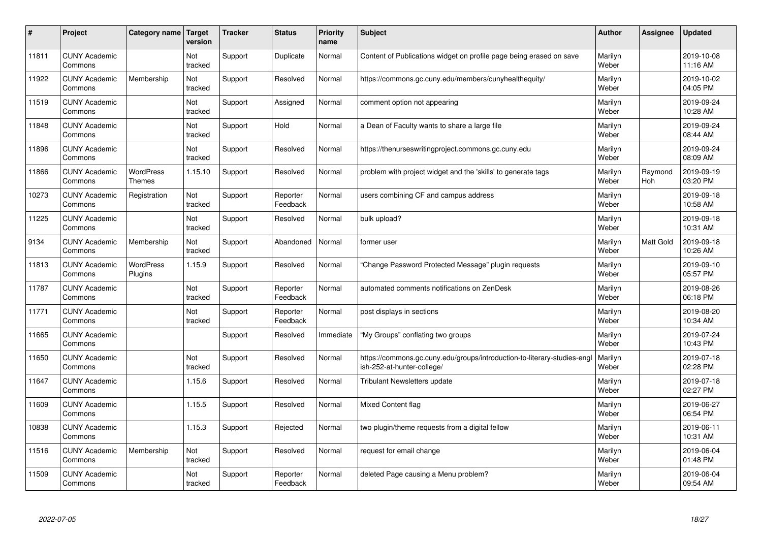| #     | Project                         | Category name                     | <b>Target</b><br>version | <b>Tracker</b> | <b>Status</b>        | <b>Priority</b><br>name | <b>Subject</b>                                                                                        | <b>Author</b>    | Assignee       | <b>Updated</b>         |
|-------|---------------------------------|-----------------------------------|--------------------------|----------------|----------------------|-------------------------|-------------------------------------------------------------------------------------------------------|------------------|----------------|------------------------|
| 11811 | <b>CUNY Academic</b><br>Commons |                                   | Not<br>tracked           | Support        | Duplicate            | Normal                  | Content of Publications widget on profile page being erased on save                                   | Marilyn<br>Weber |                | 2019-10-08<br>11:16 AM |
| 11922 | <b>CUNY Academic</b><br>Commons | Membership                        | Not<br>tracked           | Support        | Resolved             | Normal                  | https://commons.gc.cuny.edu/members/cunyhealthequity/                                                 | Marilyn<br>Weber |                | 2019-10-02<br>04:05 PM |
| 11519 | <b>CUNY Academic</b><br>Commons |                                   | Not<br>tracked           | Support        | Assigned             | Normal                  | comment option not appearing                                                                          | Marilyn<br>Weber |                | 2019-09-24<br>10:28 AM |
| 11848 | <b>CUNY Academic</b><br>Commons |                                   | Not<br>tracked           | Support        | Hold                 | Normal                  | a Dean of Faculty wants to share a large file                                                         | Marilyn<br>Weber |                | 2019-09-24<br>08:44 AM |
| 11896 | <b>CUNY Academic</b><br>Commons |                                   | <b>Not</b><br>tracked    | Support        | Resolved             | Normal                  | https://thenurseswritingproject.commons.gc.cuny.edu                                                   | Marilyn<br>Weber |                | 2019-09-24<br>08:09 AM |
| 11866 | <b>CUNY Academic</b><br>Commons | <b>WordPress</b><br><b>Themes</b> | 1.15.10                  | Support        | Resolved             | Normal                  | problem with project widget and the 'skills' to generate tags                                         | Marilyn<br>Weber | Raymond<br>Hoh | 2019-09-19<br>03:20 PM |
| 10273 | <b>CUNY Academic</b><br>Commons | Registration                      | Not<br>tracked           | Support        | Reporter<br>Feedback | Normal                  | users combining CF and campus address                                                                 | Marilyn<br>Weber |                | 2019-09-18<br>10:58 AM |
| 11225 | <b>CUNY Academic</b><br>Commons |                                   | Not<br>tracked           | Support        | Resolved             | Normal                  | bulk upload?                                                                                          | Marilyn<br>Weber |                | 2019-09-18<br>10:31 AM |
| 9134  | <b>CUNY Academic</b><br>Commons | Membership                        | Not<br>tracked           | Support        | Abandoned            | Normal                  | former user                                                                                           | Marilyn<br>Weber | Matt Gold      | 2019-09-18<br>10:26 AM |
| 11813 | <b>CUNY Academic</b><br>Commons | WordPress<br>Plugins              | 1.15.9                   | Support        | Resolved             | Normal                  | Change Password Protected Message" plugin requests                                                    | Marilyn<br>Weber |                | 2019-09-10<br>05:57 PM |
| 11787 | <b>CUNY Academic</b><br>Commons |                                   | Not<br>tracked           | Support        | Reporter<br>Feedback | Normal                  | automated comments notifications on ZenDesk                                                           | Marilyn<br>Weber |                | 2019-08-26<br>06:18 PM |
| 11771 | <b>CUNY Academic</b><br>Commons |                                   | Not<br>tracked           | Support        | Reporter<br>Feedback | Normal                  | post displays in sections                                                                             | Marilyn<br>Weber |                | 2019-08-20<br>10:34 AM |
| 11665 | <b>CUNY Academic</b><br>Commons |                                   |                          | Support        | Resolved             | Immediate               | 'My Groups" conflating two groups                                                                     | Marilyn<br>Weber |                | 2019-07-24<br>10:43 PM |
| 11650 | <b>CUNY Academic</b><br>Commons |                                   | Not<br>tracked           | Support        | Resolved             | Normal                  | https://commons.gc.cuny.edu/groups/introduction-to-literary-studies-eng<br>ish-252-at-hunter-college/ | Marilyn<br>Weber |                | 2019-07-18<br>02:28 PM |
| 11647 | <b>CUNY Academic</b><br>Commons |                                   | 1.15.6                   | Support        | Resolved             | Normal                  | <b>Tribulant Newsletters update</b>                                                                   | Marilyn<br>Weber |                | 2019-07-18<br>02:27 PM |
| 11609 | <b>CUNY Academic</b><br>Commons |                                   | 1.15.5                   | Support        | Resolved             | Normal                  | <b>Mixed Content flag</b>                                                                             | Marilyn<br>Weber |                | 2019-06-27<br>06:54 PM |
| 10838 | <b>CUNY Academic</b><br>Commons |                                   | 1.15.3                   | Support        | Rejected             | Normal                  | two plugin/theme requests from a digital fellow                                                       | Marilyn<br>Weber |                | 2019-06-11<br>10:31 AM |
| 11516 | <b>CUNY Academic</b><br>Commons | Membership                        | Not<br>tracked           | Support        | Resolved             | Normal                  | request for email change                                                                              | Marilyn<br>Weber |                | 2019-06-04<br>01:48 PM |
| 11509 | <b>CUNY Academic</b><br>Commons |                                   | Not<br>tracked           | Support        | Reporter<br>Feedback | Normal                  | deleted Page causing a Menu problem?                                                                  | Marilyn<br>Weber |                | 2019-06-04<br>09:54 AM |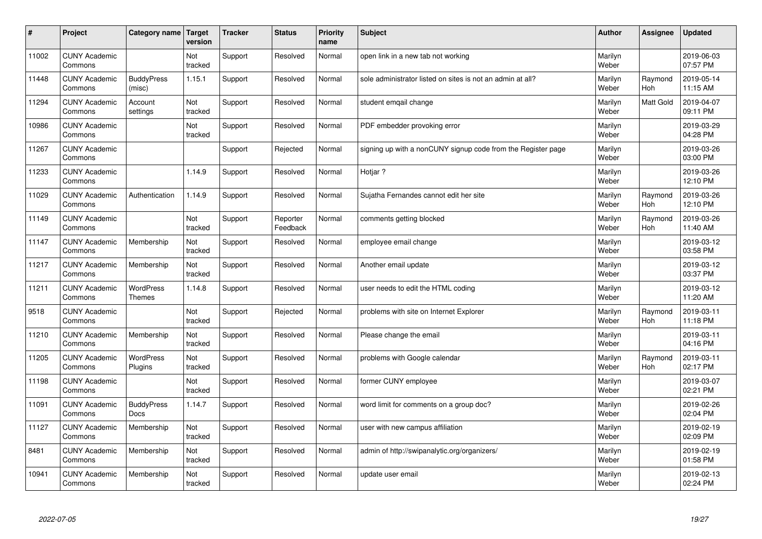| $\sharp$ | Project                         | Category name               | Target<br>version | <b>Tracker</b> | <b>Status</b>        | <b>Priority</b><br>name | <b>Subject</b>                                               | <b>Author</b>    | Assignee         | Updated                |
|----------|---------------------------------|-----------------------------|-------------------|----------------|----------------------|-------------------------|--------------------------------------------------------------|------------------|------------------|------------------------|
| 11002    | <b>CUNY Academic</b><br>Commons |                             | Not<br>tracked    | Support        | Resolved             | Normal                  | open link in a new tab not working                           | Marilyn<br>Weber |                  | 2019-06-03<br>07:57 PM |
| 11448    | <b>CUNY Academic</b><br>Commons | <b>BuddyPress</b><br>(misc) | 1.15.1            | Support        | Resolved             | Normal                  | sole administrator listed on sites is not an admin at all?   | Marilyn<br>Weber | Raymond<br>Hoh   | 2019-05-14<br>11:15 AM |
| 11294    | <b>CUNY Academic</b><br>Commons | Account<br>settings         | Not<br>tracked    | Support        | Resolved             | Normal                  | student emgail change                                        | Marilyn<br>Weber | <b>Matt Gold</b> | 2019-04-07<br>09:11 PM |
| 10986    | <b>CUNY Academic</b><br>Commons |                             | Not<br>tracked    | Support        | Resolved             | Normal                  | PDF embedder provoking error                                 | Marilyn<br>Weber |                  | 2019-03-29<br>04:28 PM |
| 11267    | <b>CUNY Academic</b><br>Commons |                             |                   | Support        | Rejected             | Normal                  | signing up with a nonCUNY signup code from the Register page | Marilyn<br>Weber |                  | 2019-03-26<br>03:00 PM |
| 11233    | <b>CUNY Academic</b><br>Commons |                             | 1.14.9            | Support        | Resolved             | Normal                  | Hotjar ?                                                     | Marilyn<br>Weber |                  | 2019-03-26<br>12:10 PM |
| 11029    | <b>CUNY Academic</b><br>Commons | Authentication              | 1.14.9            | Support        | Resolved             | Normal                  | Sujatha Fernandes cannot edit her site                       | Marilyn<br>Weber | Raymond<br>Hoh   | 2019-03-26<br>12:10 PM |
| 11149    | <b>CUNY Academic</b><br>Commons |                             | Not<br>tracked    | Support        | Reporter<br>Feedback | Normal                  | comments getting blocked                                     | Marilyn<br>Weber | Raymond<br>Hoh   | 2019-03-26<br>11:40 AM |
| 11147    | <b>CUNY Academic</b><br>Commons | Membership                  | Not<br>tracked    | Support        | Resolved             | Normal                  | employee email change                                        | Marilyn<br>Weber |                  | 2019-03-12<br>03:58 PM |
| 11217    | <b>CUNY Academic</b><br>Commons | Membership                  | Not<br>tracked    | Support        | Resolved             | Normal                  | Another email update                                         | Marilyn<br>Weber |                  | 2019-03-12<br>03:37 PM |
| 11211    | <b>CUNY Academic</b><br>Commons | WordPress<br><b>Themes</b>  | 1.14.8            | Support        | Resolved             | Normal                  | user needs to edit the HTML coding                           | Marilyn<br>Weber |                  | 2019-03-12<br>11:20 AM |
| 9518     | <b>CUNY Academic</b><br>Commons |                             | Not<br>tracked    | Support        | Rejected             | Normal                  | problems with site on Internet Explorer                      | Marilyn<br>Weber | Raymond<br>Hoh   | 2019-03-11<br>11:18 PM |
| 11210    | <b>CUNY Academic</b><br>Commons | Membership                  | Not<br>tracked    | Support        | Resolved             | Normal                  | Please change the email                                      | Marilyn<br>Weber |                  | 2019-03-11<br>04:16 PM |
| 11205    | <b>CUNY Academic</b><br>Commons | WordPress<br>Plugins        | Not<br>tracked    | Support        | Resolved             | Normal                  | problems with Google calendar                                | Marilyn<br>Weber | Raymond<br>Hoh   | 2019-03-11<br>02:17 PM |
| 11198    | <b>CUNY Academic</b><br>Commons |                             | Not<br>tracked    | Support        | Resolved             | Normal                  | former CUNY employee                                         | Marilyn<br>Weber |                  | 2019-03-07<br>02:21 PM |
| 11091    | <b>CUNY Academic</b><br>Commons | <b>BuddyPress</b><br>Docs   | 1.14.7            | Support        | Resolved             | Normal                  | word limit for comments on a group doc?                      | Marilyn<br>Weber |                  | 2019-02-26<br>02:04 PM |
| 11127    | <b>CUNY Academic</b><br>Commons | Membership                  | Not<br>tracked    | Support        | Resolved             | Normal                  | user with new campus affiliation                             | Marilyn<br>Weber |                  | 2019-02-19<br>02:09 PM |
| 8481     | <b>CUNY Academic</b><br>Commons | Membership                  | Not<br>tracked    | Support        | Resolved             | Normal                  | admin of http://swipanalytic.org/organizers/                 | Marilyn<br>Weber |                  | 2019-02-19<br>01:58 PM |
| 10941    | <b>CUNY Academic</b><br>Commons | Membership                  | Not<br>tracked    | Support        | Resolved             | Normal                  | update user email                                            | Marilyn<br>Weber |                  | 2019-02-13<br>02:24 PM |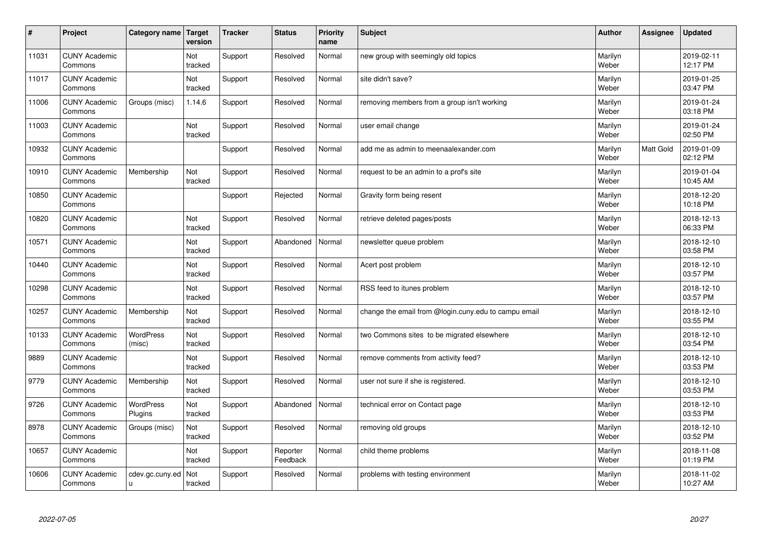| $\sharp$ | Project                         | Category name               | Target<br>version | <b>Tracker</b> | <b>Status</b>        | <b>Priority</b><br>name | <b>Subject</b>                                       | <b>Author</b>    | Assignee  | Updated                |
|----------|---------------------------------|-----------------------------|-------------------|----------------|----------------------|-------------------------|------------------------------------------------------|------------------|-----------|------------------------|
| 11031    | <b>CUNY Academic</b><br>Commons |                             | Not<br>tracked    | Support        | Resolved             | Normal                  | new group with seemingly old topics                  | Marilyn<br>Weber |           | 2019-02-11<br>12:17 PM |
| 11017    | <b>CUNY Academic</b><br>Commons |                             | Not<br>tracked    | Support        | Resolved             | Normal                  | site didn't save?                                    | Marilyn<br>Weber |           | 2019-01-25<br>03:47 PM |
| 11006    | <b>CUNY Academic</b><br>Commons | Groups (misc)               | 1.14.6            | Support        | Resolved             | Normal                  | removing members from a group isn't working          | Marilyn<br>Weber |           | 2019-01-24<br>03:18 PM |
| 11003    | <b>CUNY Academic</b><br>Commons |                             | Not<br>tracked    | Support        | Resolved             | Normal                  | user email change                                    | Marilyn<br>Weber |           | 2019-01-24<br>02:50 PM |
| 10932    | <b>CUNY Academic</b><br>Commons |                             |                   | Support        | Resolved             | Normal                  | add me as admin to meenaalexander.com                | Marilyn<br>Weber | Matt Gold | 2019-01-09<br>02:12 PM |
| 10910    | <b>CUNY Academic</b><br>Commons | Membership                  | Not<br>tracked    | Support        | Resolved             | Normal                  | request to be an admin to a prof's site              | Marilyn<br>Weber |           | 2019-01-04<br>10:45 AM |
| 10850    | <b>CUNY Academic</b><br>Commons |                             |                   | Support        | Rejected             | Normal                  | Gravity form being resent                            | Marilyn<br>Weber |           | 2018-12-20<br>10:18 PM |
| 10820    | <b>CUNY Academic</b><br>Commons |                             | Not<br>tracked    | Support        | Resolved             | Normal                  | retrieve deleted pages/posts                         | Marilyn<br>Weber |           | 2018-12-13<br>06:33 PM |
| 10571    | <b>CUNY Academic</b><br>Commons |                             | Not<br>tracked    | Support        | Abandoned            | Normal                  | newsletter queue problem                             | Marilyn<br>Weber |           | 2018-12-10<br>03:58 PM |
| 10440    | <b>CUNY Academic</b><br>Commons |                             | Not<br>tracked    | Support        | Resolved             | Normal                  | Acert post problem                                   | Marilyn<br>Weber |           | 2018-12-10<br>03:57 PM |
| 10298    | <b>CUNY Academic</b><br>Commons |                             | Not<br>tracked    | Support        | Resolved             | Normal                  | RSS feed to itunes problem                           | Marilyn<br>Weber |           | 2018-12-10<br>03:57 PM |
| 10257    | <b>CUNY Academic</b><br>Commons | Membership                  | Not<br>tracked    | Support        | Resolved             | Normal                  | change the email from @login.cuny.edu to campu email | Marilyn<br>Weber |           | 2018-12-10<br>03:55 PM |
| 10133    | <b>CUNY Academic</b><br>Commons | <b>WordPress</b><br>(misc)  | Not<br>tracked    | Support        | Resolved             | Normal                  | two Commons sites to be migrated elsewhere           | Marilyn<br>Weber |           | 2018-12-10<br>03:54 PM |
| 9889     | <b>CUNY Academic</b><br>Commons |                             | Not<br>tracked    | Support        | Resolved             | Normal                  | remove comments from activity feed?                  | Marilyn<br>Weber |           | 2018-12-10<br>03:53 PM |
| 9779     | <b>CUNY Academic</b><br>Commons | Membership                  | Not<br>tracked    | Support        | Resolved             | Normal                  | user not sure if she is registered.                  | Marilyn<br>Weber |           | 2018-12-10<br>03:53 PM |
| 9726     | <b>CUNY Academic</b><br>Commons | <b>WordPress</b><br>Plugins | Not<br>tracked    | Support        | Abandoned            | Normal                  | technical error on Contact page                      | Marilyn<br>Weber |           | 2018-12-10<br>03:53 PM |
| 8978     | <b>CUNY Academic</b><br>Commons | Groups (misc)               | Not<br>tracked    | Support        | Resolved             | Normal                  | removing old groups                                  | Marilyn<br>Weber |           | 2018-12-10<br>03:52 PM |
| 10657    | <b>CUNY Academic</b><br>Commons |                             | Not<br>tracked    | Support        | Reporter<br>Feedback | Normal                  | child theme problems                                 | Marilyn<br>Weber |           | 2018-11-08<br>01:19 PM |
| 10606    | <b>CUNY Academic</b><br>Commons | cdev.gc.cuny.ed<br>u        | Not<br>tracked    | Support        | Resolved             | Normal                  | problems with testing environment                    | Marilyn<br>Weber |           | 2018-11-02<br>10:27 AM |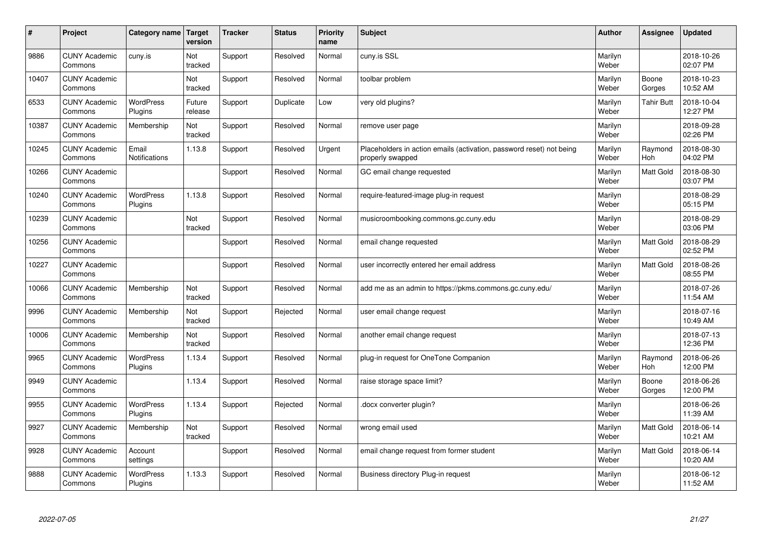| #     | Project                         | Category name   Target        | version           | <b>Tracker</b> | <b>Status</b> | <b>Priority</b><br>name | <b>Subject</b>                                                                           | <b>Author</b>    | Assignee              | <b>Updated</b>         |
|-------|---------------------------------|-------------------------------|-------------------|----------------|---------------|-------------------------|------------------------------------------------------------------------------------------|------------------|-----------------------|------------------------|
| 9886  | <b>CUNY Academic</b><br>Commons | cuny.is                       | Not<br>tracked    | Support        | Resolved      | Normal                  | cuny.is SSL                                                                              | Marilyn<br>Weber |                       | 2018-10-26<br>02:07 PM |
| 10407 | <b>CUNY Academic</b><br>Commons |                               | Not<br>tracked    | Support        | Resolved      | Normal                  | toolbar problem                                                                          | Marilyn<br>Weber | Boone<br>Gorges       | 2018-10-23<br>10:52 AM |
| 6533  | <b>CUNY Academic</b><br>Commons | <b>WordPress</b><br>Plugins   | Future<br>release | Support        | Duplicate     | Low                     | very old plugins?                                                                        | Marilyn<br>Weber | <b>Tahir Butt</b>     | 2018-10-04<br>12:27 PM |
| 10387 | <b>CUNY Academic</b><br>Commons | Membership                    | Not<br>tracked    | Support        | Resolved      | Normal                  | remove user page                                                                         | Marilyn<br>Weber |                       | 2018-09-28<br>02:26 PM |
| 10245 | <b>CUNY Academic</b><br>Commons | Email<br><b>Notifications</b> | 1.13.8            | Support        | Resolved      | Urgent                  | Placeholders in action emails (activation, password reset) not being<br>properly swapped | Marilyn<br>Weber | Raymond<br>Hoh        | 2018-08-30<br>04:02 PM |
| 10266 | <b>CUNY Academic</b><br>Commons |                               |                   | Support        | Resolved      | Normal                  | GC email change requested                                                                | Marilyn<br>Weber | Matt Gold             | 2018-08-30<br>03:07 PM |
| 10240 | <b>CUNY Academic</b><br>Commons | <b>WordPress</b><br>Plugins   | 1.13.8            | Support        | Resolved      | Normal                  | require-featured-image plug-in request                                                   | Marilyn<br>Weber |                       | 2018-08-29<br>05:15 PM |
| 10239 | <b>CUNY Academic</b><br>Commons |                               | Not<br>tracked    | Support        | Resolved      | Normal                  | musicroombooking.commons.gc.cuny.edu                                                     | Marilyn<br>Weber |                       | 2018-08-29<br>03:06 PM |
| 10256 | <b>CUNY Academic</b><br>Commons |                               |                   | Support        | Resolved      | Normal                  | email change requested                                                                   | Marilyn<br>Weber | Matt Gold             | 2018-08-29<br>02:52 PM |
| 10227 | <b>CUNY Academic</b><br>Commons |                               |                   | Support        | Resolved      | Normal                  | user incorrectly entered her email address                                               | Marilyn<br>Weber | Matt Gold             | 2018-08-26<br>08:55 PM |
| 10066 | <b>CUNY Academic</b><br>Commons | Membership                    | Not<br>tracked    | Support        | Resolved      | Normal                  | add me as an admin to https://pkms.commons.gc.cuny.edu/                                  | Marilyn<br>Weber |                       | 2018-07-26<br>11:54 AM |
| 9996  | <b>CUNY Academic</b><br>Commons | Membership                    | Not<br>tracked    | Support        | Rejected      | Normal                  | user email change request                                                                | Marilyn<br>Weber |                       | 2018-07-16<br>10:49 AM |
| 10006 | <b>CUNY Academic</b><br>Commons | Membership                    | Not<br>tracked    | Support        | Resolved      | Normal                  | another email change request                                                             | Marilyn<br>Weber |                       | 2018-07-13<br>12:36 PM |
| 9965  | <b>CUNY Academic</b><br>Commons | WordPress<br>Plugins          | 1.13.4            | Support        | Resolved      | Normal                  | plug-in request for OneTone Companion                                                    | Marilyn<br>Weber | Raymond<br><b>Hoh</b> | 2018-06-26<br>12:00 PM |
| 9949  | <b>CUNY Academic</b><br>Commons |                               | 1.13.4            | Support        | Resolved      | Normal                  | raise storage space limit?                                                               | Marilyn<br>Weber | Boone<br>Gorges       | 2018-06-26<br>12:00 PM |
| 9955  | <b>CUNY Academic</b><br>Commons | WordPress<br>Plugins          | 1.13.4            | Support        | Rejected      | Normal                  | docx converter plugin?                                                                   | Marilyn<br>Weber |                       | 2018-06-26<br>11:39 AM |
| 9927  | <b>CUNY Academic</b><br>Commons | Membership                    | Not<br>tracked    | Support        | Resolved      | Normal                  | wrong email used                                                                         | Marilyn<br>Weber | Matt Gold             | 2018-06-14<br>10:21 AM |
| 9928  | <b>CUNY Academic</b><br>Commons | Account<br>settings           |                   | Support        | Resolved      | Normal                  | email change request from former student                                                 | Marilyn<br>Weber | Matt Gold             | 2018-06-14<br>10:20 AM |
| 9888  | <b>CUNY Academic</b><br>Commons | <b>WordPress</b><br>Plugins   | 1.13.3            | Support        | Resolved      | Normal                  | Business directory Plug-in request                                                       | Marilyn<br>Weber |                       | 2018-06-12<br>11:52 AM |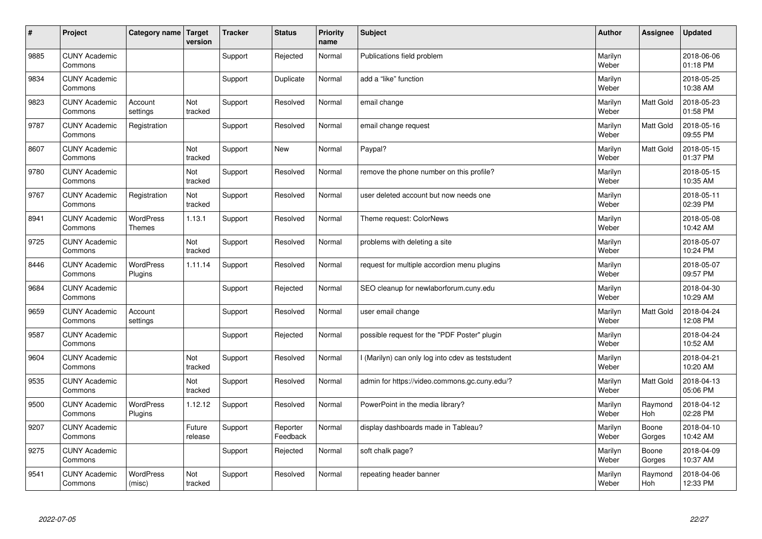| $\sharp$ | Project                         | Category name                     | <b>Target</b><br>version | <b>Tracker</b> | <b>Status</b>        | <b>Priority</b><br>name | <b>Subject</b>                                    | <b>Author</b>    | Assignee         | <b>Updated</b>         |
|----------|---------------------------------|-----------------------------------|--------------------------|----------------|----------------------|-------------------------|---------------------------------------------------|------------------|------------------|------------------------|
| 9885     | <b>CUNY Academic</b><br>Commons |                                   |                          | Support        | Rejected             | Normal                  | Publications field problem                        | Marilyn<br>Weber |                  | 2018-06-06<br>01:18 PM |
| 9834     | <b>CUNY Academic</b><br>Commons |                                   |                          | Support        | Duplicate            | Normal                  | add a "like" function                             | Marilyn<br>Weber |                  | 2018-05-25<br>10:38 AM |
| 9823     | <b>CUNY Academic</b><br>Commons | Account<br>settings               | Not<br>tracked           | Support        | Resolved             | Normal                  | email change                                      | Marilyn<br>Weber | Matt Gold        | 2018-05-23<br>01:58 PM |
| 9787     | <b>CUNY Academic</b><br>Commons | Registration                      |                          | Support        | Resolved             | Normal                  | email change request                              | Marilyn<br>Weber | <b>Matt Gold</b> | 2018-05-16<br>09:55 PM |
| 8607     | <b>CUNY Academic</b><br>Commons |                                   | Not<br>tracked           | Support        | <b>New</b>           | Normal                  | Paypal?                                           | Marilyn<br>Weber | <b>Matt Gold</b> | 2018-05-15<br>01:37 PM |
| 9780     | <b>CUNY Academic</b><br>Commons |                                   | Not<br>tracked           | Support        | Resolved             | Normal                  | remove the phone number on this profile?          | Marilyn<br>Weber |                  | 2018-05-15<br>10:35 AM |
| 9767     | <b>CUNY Academic</b><br>Commons | Registration                      | Not<br>tracked           | Support        | Resolved             | Normal                  | user deleted account but now needs one            | Marilyn<br>Weber |                  | 2018-05-11<br>02:39 PM |
| 8941     | <b>CUNY Academic</b><br>Commons | <b>WordPress</b><br><b>Themes</b> | 1.13.1                   | Support        | Resolved             | Normal                  | Theme request: ColorNews                          | Marilyn<br>Weber |                  | 2018-05-08<br>10:42 AM |
| 9725     | <b>CUNY Academic</b><br>Commons |                                   | Not<br>tracked           | Support        | Resolved             | Normal                  | problems with deleting a site                     | Marilyn<br>Weber |                  | 2018-05-07<br>10:24 PM |
| 8446     | <b>CUNY Academic</b><br>Commons | <b>WordPress</b><br>Plugins       | 1.11.14                  | Support        | Resolved             | Normal                  | request for multiple accordion menu plugins       | Marilyn<br>Weber |                  | 2018-05-07<br>09:57 PM |
| 9684     | <b>CUNY Academic</b><br>Commons |                                   |                          | Support        | Rejected             | Normal                  | SEO cleanup for newlaborforum.cuny.edu            | Marilyn<br>Weber |                  | 2018-04-30<br>10:29 AM |
| 9659     | <b>CUNY Academic</b><br>Commons | Account<br>settings               |                          | Support        | Resolved             | Normal                  | user email change                                 | Marilyn<br>Weber | <b>Matt Gold</b> | 2018-04-24<br>12:08 PM |
| 9587     | <b>CUNY Academic</b><br>Commons |                                   |                          | Support        | Rejected             | Normal                  | possible request for the "PDF Poster" plugin      | Marilyn<br>Weber |                  | 2018-04-24<br>10:52 AM |
| 9604     | <b>CUNY Academic</b><br>Commons |                                   | Not<br>tracked           | Support        | Resolved             | Normal                  | I (Marilyn) can only log into cdev as teststudent | Marilyn<br>Weber |                  | 2018-04-21<br>10:20 AM |
| 9535     | <b>CUNY Academic</b><br>Commons |                                   | Not<br>tracked           | Support        | Resolved             | Normal                  | admin for https://video.commons.gc.cuny.edu/?     | Marilyn<br>Weber | Matt Gold        | 2018-04-13<br>05:06 PM |
| 9500     | <b>CUNY Academic</b><br>Commons | <b>WordPress</b><br>Plugins       | 1.12.12                  | Support        | Resolved             | Normal                  | PowerPoint in the media library?                  | Marilyn<br>Weber | Raymond<br>Hoh   | 2018-04-12<br>02:28 PM |
| 9207     | <b>CUNY Academic</b><br>Commons |                                   | Future<br>release        | Support        | Reporter<br>Feedback | Normal                  | display dashboards made in Tableau?               | Marilyn<br>Weber | Boone<br>Gorges  | 2018-04-10<br>10:42 AM |
| 9275     | <b>CUNY Academic</b><br>Commons |                                   |                          | Support        | Rejected             | Normal                  | soft chalk page?                                  | Marilyn<br>Weber | Boone<br>Gorges  | 2018-04-09<br>10:37 AM |
| 9541     | <b>CUNY Academic</b><br>Commons | <b>WordPress</b><br>(misc)        | Not<br>tracked           | Support        | Resolved             | Normal                  | repeating header banner                           | Marilyn<br>Weber | Raymond<br>Hoh   | 2018-04-06<br>12:33 PM |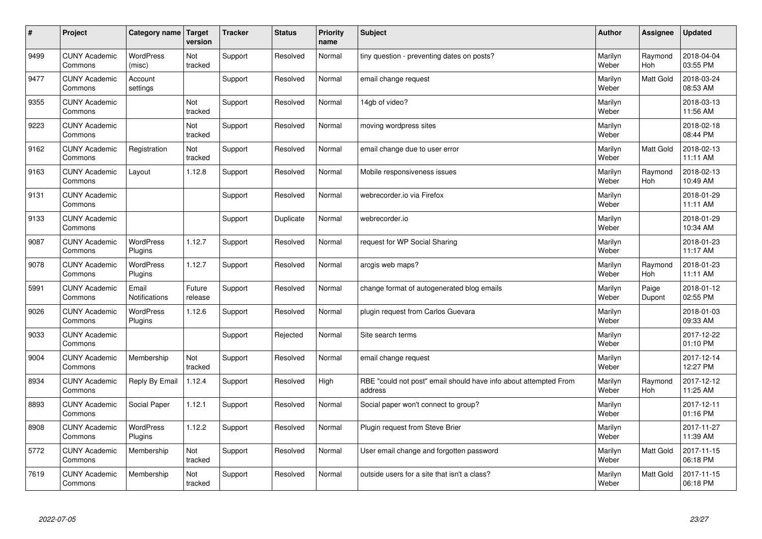| $\sharp$ | Project                         | Category name   Target      | version           | <b>Tracker</b> | <b>Status</b> | <b>Priority</b><br>name | <b>Subject</b>                                                              | <b>Author</b>    | Assignee              | <b>Updated</b>         |
|----------|---------------------------------|-----------------------------|-------------------|----------------|---------------|-------------------------|-----------------------------------------------------------------------------|------------------|-----------------------|------------------------|
| 9499     | <b>CUNY Academic</b><br>Commons | <b>WordPress</b><br>(misc)  | Not<br>tracked    | Support        | Resolved      | Normal                  | tiny question - preventing dates on posts?                                  | Marilyn<br>Weber | Raymond<br><b>Hoh</b> | 2018-04-04<br>03:55 PM |
| 9477     | <b>CUNY Academic</b><br>Commons | Account<br>settings         |                   | Support        | Resolved      | Normal                  | email change request                                                        | Marilyn<br>Weber | Matt Gold             | 2018-03-24<br>08:53 AM |
| 9355     | <b>CUNY Academic</b><br>Commons |                             | Not<br>tracked    | Support        | Resolved      | Normal                  | 14gb of video?                                                              | Marilyn<br>Weber |                       | 2018-03-13<br>11:56 AM |
| 9223     | <b>CUNY Academic</b><br>Commons |                             | Not<br>tracked    | Support        | Resolved      | Normal                  | moving wordpress sites                                                      | Marilyn<br>Weber |                       | 2018-02-18<br>08:44 PM |
| 9162     | <b>CUNY Academic</b><br>Commons | Registration                | Not<br>tracked    | Support        | Resolved      | Normal                  | email change due to user error                                              | Marilyn<br>Weber | Matt Gold             | 2018-02-13<br>11:11 AM |
| 9163     | <b>CUNY Academic</b><br>Commons | Layout                      | 1.12.8            | Support        | Resolved      | Normal                  | Mobile responsiveness issues                                                | Marilyn<br>Weber | Raymond<br>Hoh        | 2018-02-13<br>10:49 AM |
| 9131     | <b>CUNY Academic</b><br>Commons |                             |                   | Support        | Resolved      | Normal                  | webrecorder.io via Firefox                                                  | Marilyn<br>Weber |                       | 2018-01-29<br>11:11 AM |
| 9133     | <b>CUNY Academic</b><br>Commons |                             |                   | Support        | Duplicate     | Normal                  | webrecorder.io                                                              | Marilyn<br>Weber |                       | 2018-01-29<br>10:34 AM |
| 9087     | <b>CUNY Academic</b><br>Commons | <b>WordPress</b><br>Plugins | 1.12.7            | Support        | Resolved      | Normal                  | request for WP Social Sharing                                               | Marilyn<br>Weber |                       | 2018-01-23<br>11:17 AM |
| 9078     | <b>CUNY Academic</b><br>Commons | <b>WordPress</b><br>Plugins | 1.12.7            | Support        | Resolved      | Normal                  | arcgis web maps?                                                            | Marilyn<br>Weber | Raymond<br>Hoh        | 2018-01-23<br>11:11 AM |
| 5991     | <b>CUNY Academic</b><br>Commons | Email<br>Notifications      | Future<br>release | Support        | Resolved      | Normal                  | change format of autogenerated blog emails                                  | Marilyn<br>Weber | Paige<br>Dupont       | 2018-01-12<br>02:55 PM |
| 9026     | <b>CUNY Academic</b><br>Commons | <b>WordPress</b><br>Plugins | 1.12.6            | Support        | Resolved      | Normal                  | plugin request from Carlos Guevara                                          | Marilyn<br>Weber |                       | 2018-01-03<br>09:33 AM |
| 9033     | <b>CUNY Academic</b><br>Commons |                             |                   | Support        | Rejected      | Normal                  | Site search terms                                                           | Marilyn<br>Weber |                       | 2017-12-22<br>01:10 PM |
| 9004     | <b>CUNY Academic</b><br>Commons | Membership                  | Not<br>tracked    | Support        | Resolved      | Normal                  | email change request                                                        | Marilyn<br>Weber |                       | 2017-12-14<br>12:27 PM |
| 8934     | <b>CUNY Academic</b><br>Commons | Reply By Email              | 1.12.4            | Support        | Resolved      | High                    | RBE "could not post" email should have info about attempted From<br>address | Marilyn<br>Weber | Raymond<br>Hoh        | 2017-12-12<br>11:25 AM |
| 8893     | <b>CUNY Academic</b><br>Commons | Social Paper                | 1.12.1            | Support        | Resolved      | Normal                  | Social paper won't connect to group?                                        | Marilyn<br>Weber |                       | 2017-12-11<br>01:16 PM |
| 8908     | <b>CUNY Academic</b><br>Commons | <b>WordPress</b><br>Plugins | 1.12.2            | Support        | Resolved      | Normal                  | Plugin request from Steve Brier                                             | Marilyn<br>Weber |                       | 2017-11-27<br>11:39 AM |
| 5772     | <b>CUNY Academic</b><br>Commons | Membership                  | Not<br>tracked    | Support        | Resolved      | Normal                  | User email change and forgotten password                                    | Marilyn<br>Weber | Matt Gold             | 2017-11-15<br>06:18 PM |
| 7619     | <b>CUNY Academic</b><br>Commons | Membership                  | Not<br>tracked    | Support        | Resolved      | Normal                  | outside users for a site that isn't a class?                                | Marilyn<br>Weber | <b>Matt Gold</b>      | 2017-11-15<br>06:18 PM |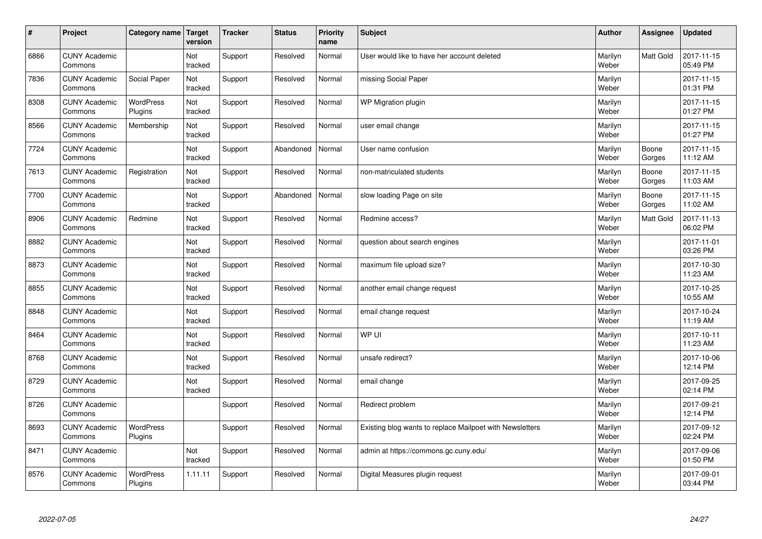| $\vert$ # | Project                         | Category name   Target      | version        | <b>Tracker</b> | <b>Status</b> | <b>Priority</b><br>name | <b>Subject</b>                                           | <b>Author</b>    | <b>Assignee</b> | <b>Updated</b>         |
|-----------|---------------------------------|-----------------------------|----------------|----------------|---------------|-------------------------|----------------------------------------------------------|------------------|-----------------|------------------------|
| 6866      | <b>CUNY Academic</b><br>Commons |                             | Not<br>tracked | Support        | Resolved      | Normal                  | User would like to have her account deleted              | Marilyn<br>Weber | Matt Gold       | 2017-11-15<br>05:49 PM |
| 7836      | <b>CUNY Academic</b><br>Commons | Social Paper                | Not<br>tracked | Support        | Resolved      | Normal                  | missing Social Paper                                     | Marilyn<br>Weber |                 | 2017-11-15<br>01:31 PM |
| 8308      | <b>CUNY Academic</b><br>Commons | WordPress<br>Plugins        | Not<br>tracked | Support        | Resolved      | Normal                  | WP Migration plugin                                      | Marilyn<br>Weber |                 | 2017-11-15<br>01:27 PM |
| 8566      | <b>CUNY Academic</b><br>Commons | Membership                  | Not<br>tracked | Support        | Resolved      | Normal                  | user email change                                        | Marilyn<br>Weber |                 | 2017-11-15<br>01:27 PM |
| 7724      | <b>CUNY Academic</b><br>Commons |                             | Not<br>tracked | Support        | Abandoned     | Normal                  | User name confusion                                      | Marilyn<br>Weber | Boone<br>Gorges | 2017-11-15<br>11:12 AM |
| 7613      | <b>CUNY Academic</b><br>Commons | Registration                | Not<br>tracked | Support        | Resolved      | Normal                  | non-matriculated students                                | Marilyn<br>Weber | Boone<br>Gorges | 2017-11-15<br>11:03 AM |
| 7700      | <b>CUNY Academic</b><br>Commons |                             | Not<br>tracked | Support        | Abandoned     | Normal                  | slow loading Page on site                                | Marilyn<br>Weber | Boone<br>Gorges | 2017-11-15<br>11:02 AM |
| 8906      | <b>CUNY Academic</b><br>Commons | Redmine                     | Not<br>tracked | Support        | Resolved      | Normal                  | Redmine access?                                          | Marilyn<br>Weber | Matt Gold       | 2017-11-13<br>06:02 PM |
| 8882      | <b>CUNY Academic</b><br>Commons |                             | Not<br>tracked | Support        | Resolved      | Normal                  | question about search engines                            | Marilyn<br>Weber |                 | 2017-11-01<br>03:26 PM |
| 8873      | <b>CUNY Academic</b><br>Commons |                             | Not<br>tracked | Support        | Resolved      | Normal                  | maximum file upload size?                                | Marilyn<br>Weber |                 | 2017-10-30<br>11:23 AM |
| 8855      | <b>CUNY Academic</b><br>Commons |                             | Not<br>tracked | Support        | Resolved      | Normal                  | another email change request                             | Marilyn<br>Weber |                 | 2017-10-25<br>10:55 AM |
| 8848      | <b>CUNY Academic</b><br>Commons |                             | Not<br>tracked | Support        | Resolved      | Normal                  | email change request                                     | Marilyn<br>Weber |                 | 2017-10-24<br>11:19 AM |
| 8464      | <b>CUNY Academic</b><br>Commons |                             | Not<br>tracked | Support        | Resolved      | Normal                  | WP UI                                                    | Marilyn<br>Weber |                 | 2017-10-11<br>11:23 AM |
| 8768      | <b>CUNY Academic</b><br>Commons |                             | Not<br>tracked | Support        | Resolved      | Normal                  | unsafe redirect?                                         | Marilyn<br>Weber |                 | 2017-10-06<br>12:14 PM |
| 8729      | <b>CUNY Academic</b><br>Commons |                             | Not<br>tracked | Support        | Resolved      | Normal                  | email change                                             | Marilyn<br>Weber |                 | 2017-09-25<br>02:14 PM |
| 8726      | <b>CUNY Academic</b><br>Commons |                             |                | Support        | Resolved      | Normal                  | Redirect problem                                         | Marilyn<br>Weber |                 | 2017-09-21<br>12:14 PM |
| 8693      | <b>CUNY Academic</b><br>Commons | WordPress<br>Plugins        |                | Support        | Resolved      | Normal                  | Existing blog wants to replace Mailpoet with Newsletters | Marilyn<br>Weber |                 | 2017-09-12<br>02:24 PM |
| 8471      | <b>CUNY Academic</b><br>Commons |                             | Not<br>tracked | Support        | Resolved      | Normal                  | admin at https://commons.gc.cuny.edu/                    | Marilyn<br>Weber |                 | 2017-09-06<br>01:50 PM |
| 8576      | <b>CUNY Academic</b><br>Commons | <b>WordPress</b><br>Plugins | 1.11.11        | Support        | Resolved      | Normal                  | Digital Measures plugin request                          | Marilyn<br>Weber |                 | 2017-09-01<br>03:44 PM |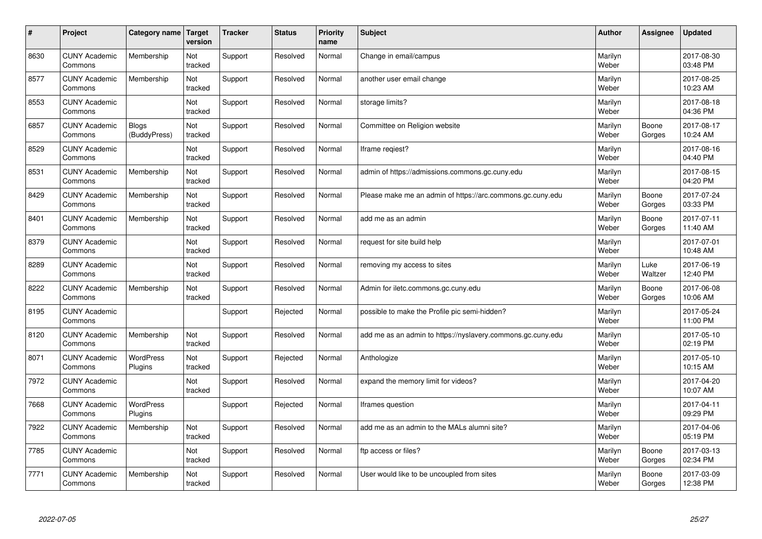| #    | Project                         | Category name                | <b>Target</b><br>version | <b>Tracker</b> | <b>Status</b> | Priority<br>name | <b>Subject</b>                                              | <b>Author</b>    | Assignee        | <b>Updated</b>         |
|------|---------------------------------|------------------------------|--------------------------|----------------|---------------|------------------|-------------------------------------------------------------|------------------|-----------------|------------------------|
| 8630 | <b>CUNY Academic</b><br>Commons | Membership                   | Not<br>tracked           | Support        | Resolved      | Normal           | Change in email/campus                                      | Marilyn<br>Weber |                 | 2017-08-30<br>03:48 PM |
| 8577 | <b>CUNY Academic</b><br>Commons | Membership                   | Not<br>tracked           | Support        | Resolved      | Normal           | another user email change                                   | Marilyn<br>Weber |                 | 2017-08-25<br>10:23 AM |
| 8553 | <b>CUNY Academic</b><br>Commons |                              | Not<br>tracked           | Support        | Resolved      | Normal           | storage limits?                                             | Marilyn<br>Weber |                 | 2017-08-18<br>04:36 PM |
| 6857 | <b>CUNY Academic</b><br>Commons | <b>Blogs</b><br>(BuddyPress) | Not<br>tracked           | Support        | Resolved      | Normal           | Committee on Religion website                               | Marilyn<br>Weber | Boone<br>Gorges | 2017-08-17<br>10:24 AM |
| 8529 | <b>CUNY Academic</b><br>Commons |                              | Not<br>tracked           | Support        | Resolved      | Normal           | Iframe reqiest?                                             | Marilyn<br>Weber |                 | 2017-08-16<br>04:40 PM |
| 8531 | <b>CUNY Academic</b><br>Commons | Membership                   | Not<br>tracked           | Support        | Resolved      | Normal           | admin of https://admissions.commons.gc.cuny.edu             | Marilyn<br>Weber |                 | 2017-08-15<br>04:20 PM |
| 8429 | <b>CUNY Academic</b><br>Commons | Membership                   | Not<br>tracked           | Support        | Resolved      | Normal           | Please make me an admin of https://arc.commons.gc.cuny.edu  | Marilyn<br>Weber | Boone<br>Gorges | 2017-07-24<br>03:33 PM |
| 8401 | <b>CUNY Academic</b><br>Commons | Membership                   | Not<br>tracked           | Support        | Resolved      | Normal           | add me as an admin                                          | Marilyn<br>Weber | Boone<br>Gorges | 2017-07-11<br>11:40 AM |
| 8379 | <b>CUNY Academic</b><br>Commons |                              | Not<br>tracked           | Support        | Resolved      | Normal           | request for site build help                                 | Marilyn<br>Weber |                 | 2017-07-01<br>10:48 AM |
| 8289 | <b>CUNY Academic</b><br>Commons |                              | Not<br>tracked           | Support        | Resolved      | Normal           | removing my access to sites                                 | Marilyn<br>Weber | Luke<br>Waltzer | 2017-06-19<br>12:40 PM |
| 8222 | <b>CUNY Academic</b><br>Commons | Membership                   | Not<br>tracked           | Support        | Resolved      | Normal           | Admin for iletc.commons.gc.cuny.edu                         | Marilyn<br>Weber | Boone<br>Gorges | 2017-06-08<br>10:06 AM |
| 8195 | <b>CUNY Academic</b><br>Commons |                              |                          | Support        | Rejected      | Normal           | possible to make the Profile pic semi-hidden?               | Marilyn<br>Weber |                 | 2017-05-24<br>11:00 PM |
| 8120 | <b>CUNY Academic</b><br>Commons | Membership                   | Not<br>tracked           | Support        | Resolved      | Normal           | add me as an admin to https://nyslavery.commons.gc.cuny.edu | Marilyn<br>Weber |                 | 2017-05-10<br>02:19 PM |
| 8071 | <b>CUNY Academic</b><br>Commons | WordPress<br>Plugins         | Not<br>tracked           | Support        | Rejected      | Normal           | Anthologize                                                 | Marilyn<br>Weber |                 | 2017-05-10<br>10:15 AM |
| 7972 | <b>CUNY Academic</b><br>Commons |                              | Not<br>tracked           | Support        | Resolved      | Normal           | expand the memory limit for videos?                         | Marilyn<br>Weber |                 | 2017-04-20<br>10:07 AM |
| 7668 | <b>CUNY Academic</b><br>Commons | WordPress<br>Plugins         |                          | Support        | Rejected      | Normal           | Iframes question                                            | Marilyn<br>Weber |                 | 2017-04-11<br>09:29 PM |
| 7922 | <b>CUNY Academic</b><br>Commons | Membership                   | Not<br>tracked           | Support        | Resolved      | Normal           | add me as an admin to the MALs alumni site?                 | Marilyn<br>Weber |                 | 2017-04-06<br>05:19 PM |
| 7785 | <b>CUNY Academic</b><br>Commons |                              | Not<br>tracked           | Support        | Resolved      | Normal           | ftp access or files?                                        | Marilyn<br>Weber | Boone<br>Gorges | 2017-03-13<br>02:34 PM |
| 7771 | <b>CUNY Academic</b><br>Commons | Membership                   | Not<br>tracked           | Support        | Resolved      | Normal           | User would like to be uncoupled from sites                  | Marilyn<br>Weber | Boone<br>Gorges | 2017-03-09<br>12:38 PM |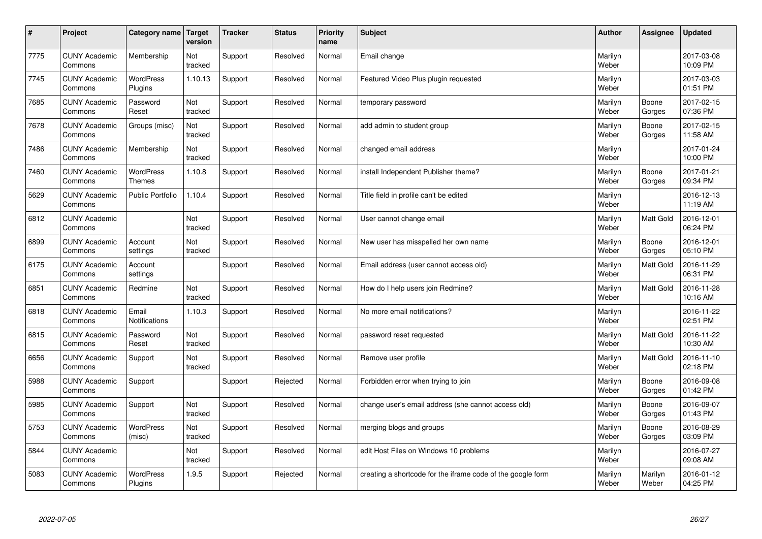| $\sharp$ | Project                         | Category name   Target        | version        | <b>Tracker</b> | <b>Status</b> | <b>Priority</b><br>name | <b>Subject</b>                                              | <b>Author</b>    | Assignee         | <b>Updated</b>         |
|----------|---------------------------------|-------------------------------|----------------|----------------|---------------|-------------------------|-------------------------------------------------------------|------------------|------------------|------------------------|
| 7775     | <b>CUNY Academic</b><br>Commons | Membership                    | Not<br>tracked | Support        | Resolved      | Normal                  | Email change                                                | Marilyn<br>Weber |                  | 2017-03-08<br>10:09 PM |
| 7745     | <b>CUNY Academic</b><br>Commons | <b>WordPress</b><br>Plugins   | 1.10.13        | Support        | Resolved      | Normal                  | Featured Video Plus plugin requested                        | Marilyn<br>Weber |                  | 2017-03-03<br>01:51 PM |
| 7685     | <b>CUNY Academic</b><br>Commons | Password<br>Reset             | Not<br>tracked | Support        | Resolved      | Normal                  | temporary password                                          | Marilyn<br>Weber | Boone<br>Gorges  | 2017-02-15<br>07:36 PM |
| 7678     | <b>CUNY Academic</b><br>Commons | Groups (misc)                 | Not<br>tracked | Support        | Resolved      | Normal                  | add admin to student group                                  | Marilyn<br>Weber | Boone<br>Gorges  | 2017-02-15<br>11:58 AM |
| 7486     | <b>CUNY Academic</b><br>Commons | Membership                    | Not<br>tracked | Support        | Resolved      | Normal                  | changed email address                                       | Marilyn<br>Weber |                  | 2017-01-24<br>10:00 PM |
| 7460     | <b>CUNY Academic</b><br>Commons | WordPress<br><b>Themes</b>    | 1.10.8         | Support        | Resolved      | Normal                  | install Independent Publisher theme?                        | Marilyn<br>Weber | Boone<br>Gorges  | 2017-01-21<br>09:34 PM |
| 5629     | <b>CUNY Academic</b><br>Commons | Public Portfolio              | 1.10.4         | Support        | Resolved      | Normal                  | Title field in profile can't be edited                      | Marilyn<br>Weber |                  | 2016-12-13<br>11:19 AM |
| 6812     | <b>CUNY Academic</b><br>Commons |                               | Not<br>tracked | Support        | Resolved      | Normal                  | User cannot change email                                    | Marilyn<br>Weber | Matt Gold        | 2016-12-01<br>06:24 PM |
| 6899     | <b>CUNY Academic</b><br>Commons | Account<br>settings           | Not<br>tracked | Support        | Resolved      | Normal                  | New user has misspelled her own name                        | Marilyn<br>Weber | Boone<br>Gorges  | 2016-12-01<br>05:10 PM |
| 6175     | <b>CUNY Academic</b><br>Commons | Account<br>settings           |                | Support        | Resolved      | Normal                  | Email address (user cannot access old)                      | Marilyn<br>Weber | Matt Gold        | 2016-11-29<br>06:31 PM |
| 6851     | <b>CUNY Academic</b><br>Commons | Redmine                       | Not<br>tracked | Support        | Resolved      | Normal                  | How do I help users join Redmine?                           | Marilyn<br>Weber | Matt Gold        | 2016-11-28<br>10:16 AM |
| 6818     | <b>CUNY Academic</b><br>Commons | Email<br><b>Notifications</b> | 1.10.3         | Support        | Resolved      | Normal                  | No more email notifications?                                | Marilyn<br>Weber |                  | 2016-11-22<br>02:51 PM |
| 6815     | <b>CUNY Academic</b><br>Commons | Password<br>Reset             | Not<br>tracked | Support        | Resolved      | Normal                  | password reset requested                                    | Marilyn<br>Weber | Matt Gold        | 2016-11-22<br>10:30 AM |
| 6656     | <b>CUNY Academic</b><br>Commons | Support                       | Not<br>tracked | Support        | Resolved      | Normal                  | Remove user profile                                         | Marilyn<br>Weber | Matt Gold        | 2016-11-10<br>02:18 PM |
| 5988     | <b>CUNY Academic</b><br>Commons | Support                       |                | Support        | Rejected      | Normal                  | Forbidden error when trying to join                         | Marilyn<br>Weber | Boone<br>Gorges  | 2016-09-08<br>01:42 PM |
| 5985     | <b>CUNY Academic</b><br>Commons | Support                       | Not<br>tracked | Support        | Resolved      | Normal                  | change user's email address (she cannot access old)         | Marilyn<br>Weber | Boone<br>Gorges  | 2016-09-07<br>01:43 PM |
| 5753     | <b>CUNY Academic</b><br>Commons | WordPress<br>(misc)           | Not<br>tracked | Support        | Resolved      | Normal                  | merging blogs and groups                                    | Marilyn<br>Weber | Boone<br>Gorges  | 2016-08-29<br>03:09 PM |
| 5844     | <b>CUNY Academic</b><br>Commons |                               | Not<br>tracked | Support        | Resolved      | Normal                  | edit Host Files on Windows 10 problems                      | Marilyn<br>Weber |                  | 2016-07-27<br>09:08 AM |
| 5083     | <b>CUNY Academic</b><br>Commons | <b>WordPress</b><br>Plugins   | 1.9.5          | Support        | Rejected      | Normal                  | creating a shortcode for the iframe code of the google form | Marilyn<br>Weber | Marilyn<br>Weber | 2016-01-12<br>04:25 PM |